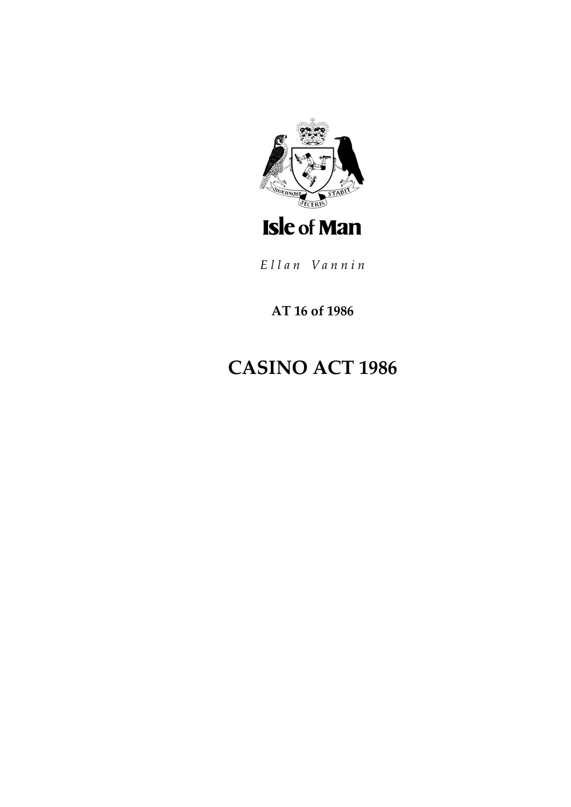

**AT 16 of 1986**

# **CASINO ACT 1986**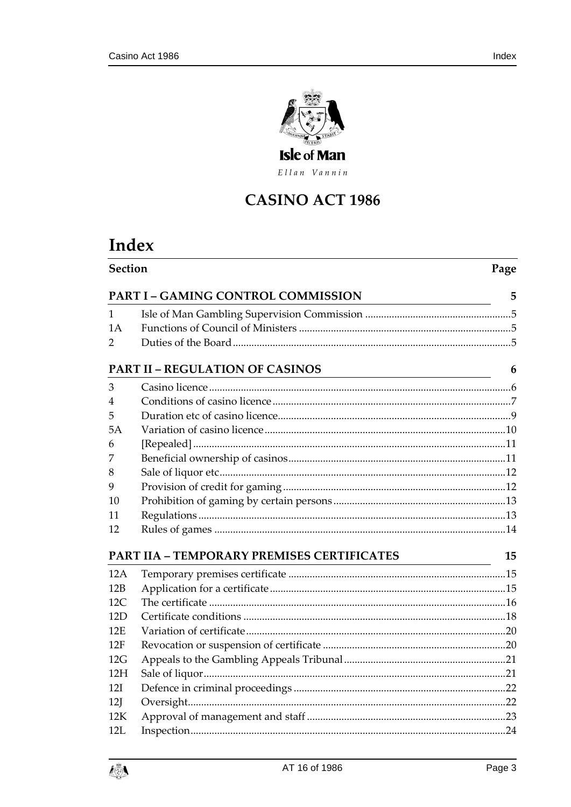

Ellan Vannin

# **CASINO ACT 1986**

# Index

| Section<br>Page                             |                                                   |    |  |  |
|---------------------------------------------|---------------------------------------------------|----|--|--|
|                                             | <b>PART I - GAMING CONTROL COMMISSION</b>         | 5  |  |  |
| 1                                           |                                                   |    |  |  |
| 1A                                          |                                                   |    |  |  |
| 2                                           |                                                   |    |  |  |
| <b>PART II - REGULATION OF CASINOS</b><br>6 |                                                   |    |  |  |
| 3                                           |                                                   |    |  |  |
| 4                                           |                                                   |    |  |  |
| 5                                           |                                                   |    |  |  |
| 5A                                          |                                                   |    |  |  |
| 6                                           |                                                   |    |  |  |
| 7                                           |                                                   |    |  |  |
| 8                                           |                                                   |    |  |  |
| 9                                           |                                                   |    |  |  |
| 10                                          |                                                   |    |  |  |
| 11                                          |                                                   |    |  |  |
| 12                                          |                                                   |    |  |  |
|                                             | <b>PART IIA - TEMPORARY PREMISES CERTIFICATES</b> | 15 |  |  |
| 12A                                         | <u> 1989 - Johann Barbara, martxa alemaniar a</u> |    |  |  |
| 12B                                         |                                                   |    |  |  |
| 12C                                         |                                                   |    |  |  |
| 12D                                         |                                                   |    |  |  |
| 12E                                         |                                                   |    |  |  |
| 12F                                         |                                                   |    |  |  |
| 12G                                         |                                                   |    |  |  |
| 12H                                         |                                                   |    |  |  |
| 12I                                         |                                                   |    |  |  |
| 12J                                         |                                                   |    |  |  |
| 12K                                         |                                                   |    |  |  |
| 12L                                         |                                                   |    |  |  |

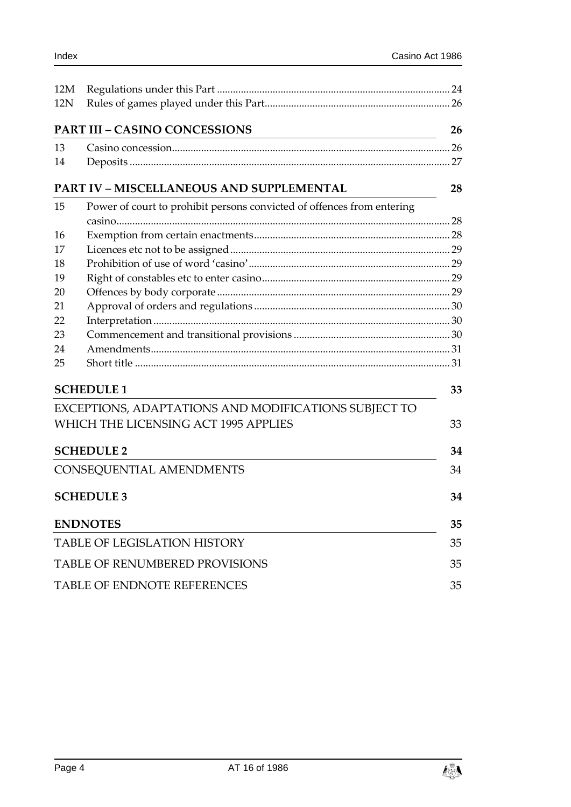| 12M                                             |                                                                        |    |  |
|-------------------------------------------------|------------------------------------------------------------------------|----|--|
| 12N                                             |                                                                        |    |  |
|                                                 | <b>PART III - CASINO CONCESSIONS</b>                                   | 26 |  |
| 13                                              |                                                                        |    |  |
| 14                                              |                                                                        |    |  |
| <b>PART IV - MISCELLANEOUS AND SUPPLEMENTAL</b> |                                                                        |    |  |
| 15                                              | Power of court to prohibit persons convicted of offences from entering |    |  |
| 16                                              |                                                                        |    |  |
| 17                                              |                                                                        |    |  |
| 18                                              |                                                                        |    |  |
| 19                                              |                                                                        |    |  |
| 20                                              |                                                                        |    |  |
| 21                                              |                                                                        |    |  |
| 22                                              |                                                                        |    |  |
| 23                                              |                                                                        |    |  |
| 24                                              |                                                                        |    |  |
| 25                                              |                                                                        |    |  |
|                                                 | <b>SCHEDULE 1</b>                                                      | 33 |  |
|                                                 | EXCEPTIONS, ADAPTATIONS AND MODIFICATIONS SUBJECT TO                   |    |  |
|                                                 | WHICH THE LICENSING ACT 1995 APPLIES                                   | 33 |  |
|                                                 | <b>SCHEDULE 2</b>                                                      | 34 |  |
|                                                 | CONSEQUENTIAL AMENDMENTS                                               | 34 |  |
|                                                 | <b>SCHEDULE 3</b>                                                      | 34 |  |
|                                                 | <b>ENDNOTES</b>                                                        | 35 |  |
|                                                 | <b>TABLE OF LEGISLATION HISTORY</b>                                    | 35 |  |
| <b>TABLE OF RENUMBERED PROVISIONS</b><br>35     |                                                                        |    |  |
| <b>TABLE OF ENDNOTE REFERENCES</b><br>35        |                                                                        |    |  |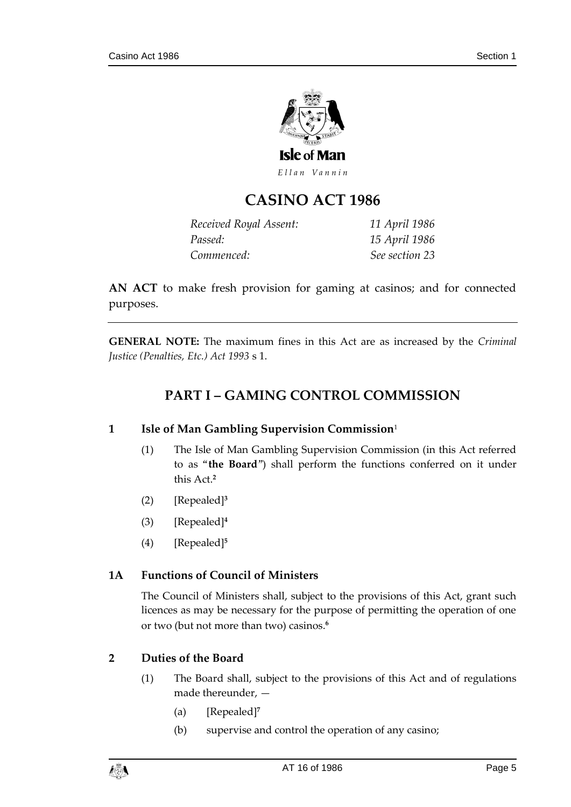

# **CASINO ACT 1986**

| Received Royal Assent: | 11 April 1986  |
|------------------------|----------------|
| Passed:                | 15 April 1986  |
| Commenced:             | See section 23 |

**AN ACT** to make fresh provision for gaming at casinos; and for connected purposes.

<span id="page-4-0"></span>**GENERAL NOTE:** The maximum fines in this Act are as increased by the *Criminal Justice (Penalties, Etc.) Act 1993* s 1.

# **PART I – GAMING CONTROL COMMISSION**

#### <span id="page-4-1"></span>**1 Isle of Man Gambling Supervision Commission**<sup>1</sup>

- (1) The Isle of Man Gambling Supervision Commission (in this Act referred to as "**the Board**") shall perform the functions conferred on it under this Act.**<sup>2</sup>**
- (2) [Repealed]**<sup>3</sup>**
- (3) [Repealed]**<sup>4</sup>**
- (4) [Repealed]**<sup>5</sup>**

## <span id="page-4-2"></span>**1A Functions of Council of Ministers**

The Council of Ministers shall, subject to the provisions of this Act, grant such licences as may be necessary for the purpose of permitting the operation of one or two (but not more than two) casinos.**<sup>6</sup>**

## <span id="page-4-3"></span>**2 Duties of the Board**

- (1) The Board shall, subject to the provisions of this Act and of regulations made thereunder, —
	- (a) [Repealed]**<sup>7</sup>**
	- (b) supervise and control the operation of any casino;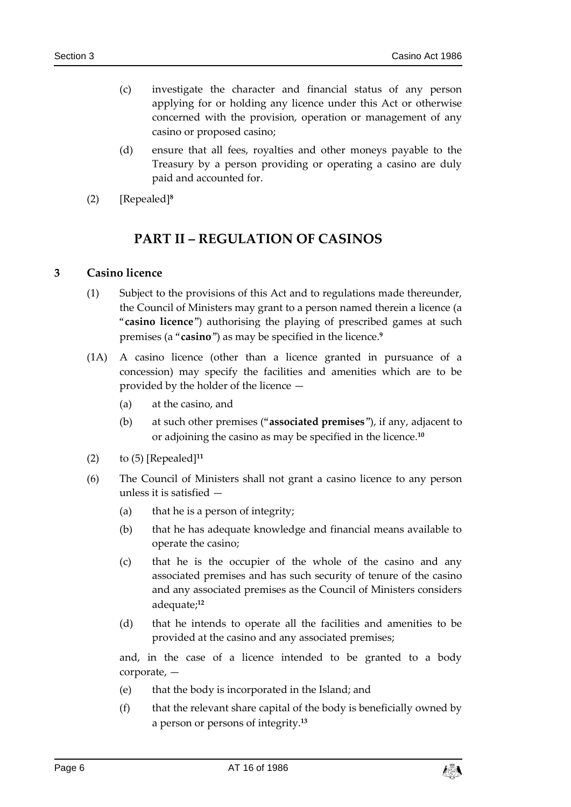- (c) investigate the character and financial status of any person applying for or holding any licence under this Act or otherwise concerned with the provision, operation or management of any casino or proposed casino;
- (d) ensure that all fees, royalties and other moneys payable to the Treasury by a person providing or operating a casino are duly paid and accounted for.
- <span id="page-5-0"></span>(2) [Repealed]**<sup>8</sup>**

# **PART II – REGULATION OF CASINOS**

#### <span id="page-5-1"></span>**3 Casino licence**

- (1) Subject to the provisions of this Act and to regulations made thereunder, the Council of Ministers may grant to a person named therein a licence (a "**casino licence**") authorising the playing of prescribed games at such premises (a "**casino**") as may be specified in the licence.**<sup>9</sup>**
- (1A) A casino licence (other than a licence granted in pursuance of a concession) may specify the facilities and amenities which are to be provided by the holder of the licence —
	- (a) at the casino, and
	- (b) at such other premises ("**associated premises**"), if any, adjacent to or adjoining the casino as may be specified in the licence.**<sup>10</sup>**
- (2) to (5) [Repealed]**<sup>11</sup>**
- (6) The Council of Ministers shall not grant a casino licence to any person unless it is satisfied —
	- (a) that he is a person of integrity;
	- (b) that he has adequate knowledge and financial means available to operate the casino;
	- (c) that he is the occupier of the whole of the casino and any associated premises and has such security of tenure of the casino and any associated premises as the Council of Ministers considers adequate;**<sup>12</sup>**
	- (d) that he intends to operate all the facilities and amenities to be provided at the casino and any associated premises;

and, in the case of a licence intended to be granted to a body corporate, —

- (e) that the body is incorporated in the Island; and
- (f) that the relevant share capital of the body is beneficially owned by a person or persons of integrity.**13**

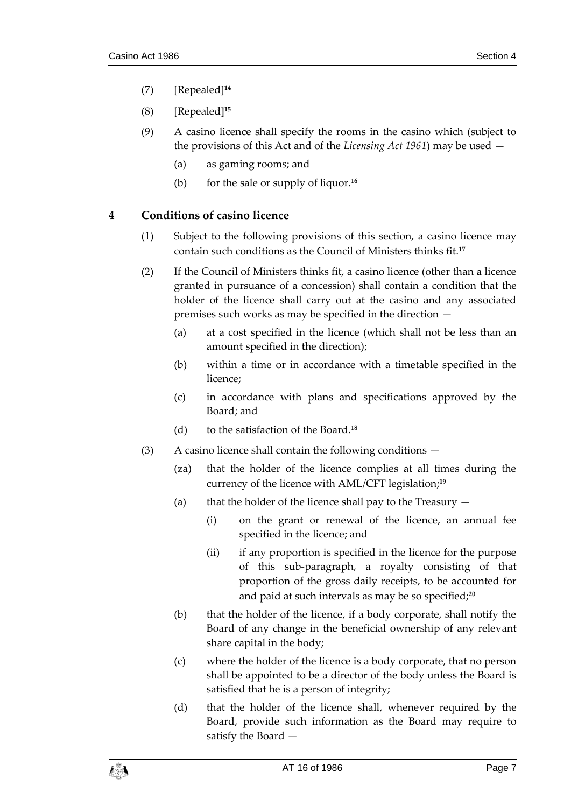- (7) [Repealed]**<sup>14</sup>**
- (8) [Repealed] **15**
- (9) A casino licence shall specify the rooms in the casino which (subject to the provisions of this Act and of the *Licensing Act 1961*) may be used —
	- (a) as gaming rooms; and
	- (b) for the sale or supply of liquor.**<sup>16</sup>**

## <span id="page-6-0"></span>**4 Conditions of casino licence**

- (1) Subject to the following provisions of this section, a casino licence may contain such conditions as the Council of Ministers thinks fit.**<sup>17</sup>**
- (2) If the Council of Ministers thinks fit, a casino licence (other than a licence granted in pursuance of a concession) shall contain a condition that the holder of the licence shall carry out at the casino and any associated premises such works as may be specified in the direction —
	- (a) at a cost specified in the licence (which shall not be less than an amount specified in the direction);
	- (b) within a time or in accordance with a timetable specified in the licence;
	- (c) in accordance with plans and specifications approved by the Board; and
	- (d) to the satisfaction of the Board.**<sup>18</sup>**
- (3) A casino licence shall contain the following conditions
	- (za) that the holder of the licence complies at all times during the currency of the licence with AML/CFT legislation;**<sup>19</sup>**
	- (a) that the holder of the licence shall pay to the Treasury  $-$ 
		- (i) on the grant or renewal of the licence, an annual fee specified in the licence; and
		- (ii) if any proportion is specified in the licence for the purpose of this sub-paragraph, a royalty consisting of that proportion of the gross daily receipts, to be accounted for and paid at such intervals as may be so specified;**<sup>20</sup>**
	- (b) that the holder of the licence, if a body corporate, shall notify the Board of any change in the beneficial ownership of any relevant share capital in the body;
	- (c) where the holder of the licence is a body corporate, that no person shall be appointed to be a director of the body unless the Board is satisfied that he is a person of integrity;
	- (d) that the holder of the licence shall, whenever required by the Board, provide such information as the Board may require to satisfy the Board —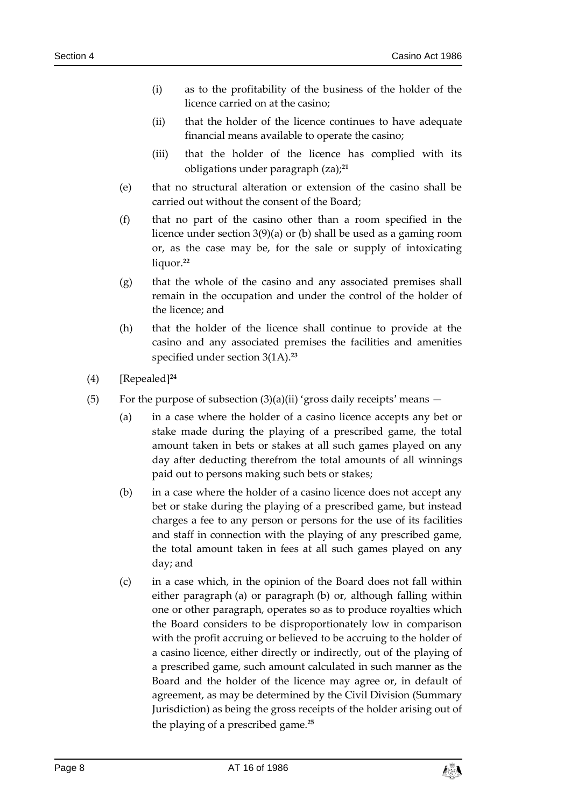- (i) as to the profitability of the business of the holder of the licence carried on at the casino;
- (ii) that the holder of the licence continues to have adequate financial means available to operate the casino;
- (iii) that the holder of the licence has complied with its obligations under paragraph (za);**<sup>21</sup>**
- (e) that no structural alteration or extension of the casino shall be carried out without the consent of the Board;
- (f) that no part of the casino other than a room specified in the licence under section 3(9)(a) or (b) shall be used as a gaming room or, as the case may be, for the sale or supply of intoxicating liquor.**<sup>22</sup>**
- (g) that the whole of the casino and any associated premises shall remain in the occupation and under the control of the holder of the licence; and
- (h) that the holder of the licence shall continue to provide at the casino and any associated premises the facilities and amenities specified under section 3(1A).**<sup>23</sup>**
- (4) [Repealed]**<sup>24</sup>**
- (5) For the purpose of subsection  $(3)(a)(ii)$  'gross daily receipts' means  $-$ 
	- (a) in a case where the holder of a casino licence accepts any bet or stake made during the playing of a prescribed game, the total amount taken in bets or stakes at all such games played on any day after deducting therefrom the total amounts of all winnings paid out to persons making such bets or stakes;
	- (b) in a case where the holder of a casino licence does not accept any bet or stake during the playing of a prescribed game, but instead charges a fee to any person or persons for the use of its facilities and staff in connection with the playing of any prescribed game, the total amount taken in fees at all such games played on any day; and
	- (c) in a case which, in the opinion of the Board does not fall within either paragraph (a) or paragraph (b) or, although falling within one or other paragraph, operates so as to produce royalties which the Board considers to be disproportionately low in comparison with the profit accruing or believed to be accruing to the holder of a casino licence, either directly or indirectly, out of the playing of a prescribed game, such amount calculated in such manner as the Board and the holder of the licence may agree or, in default of agreement, as may be determined by the Civil Division (Summary Jurisdiction) as being the gross receipts of the holder arising out of the playing of a prescribed game.**25**

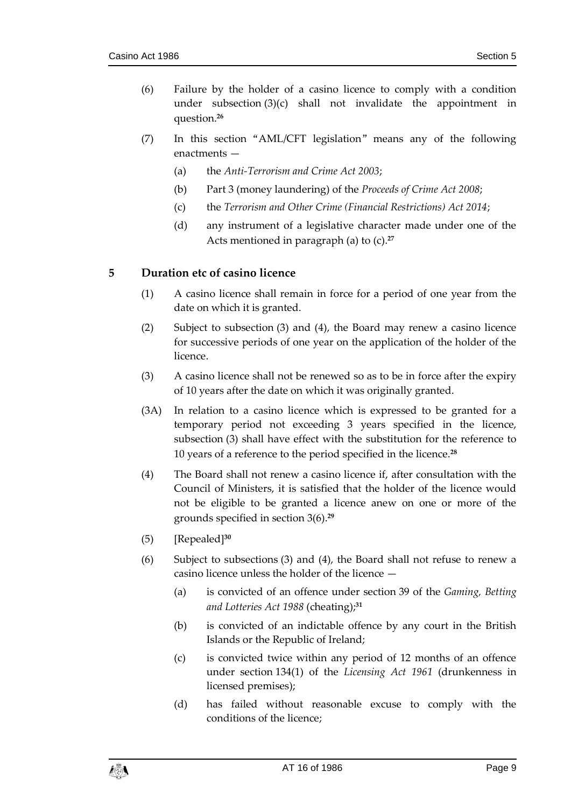- (6) Failure by the holder of a casino licence to comply with a condition under subsection (3)(c) shall not invalidate the appointment in question.**<sup>26</sup>**
- (7) In this section "AML/CFT legislation" means any of the following enactments —
	- (a) the *Anti-Terrorism and Crime Act 2003*;
	- (b) Part 3 (money laundering) of the *Proceeds of Crime Act 2008*;
	- (c) the *Terrorism and Other Crime (Financial Restrictions) Act 2014*;
	- (d) any instrument of a legislative character made under one of the Acts mentioned in paragraph (a) to (c).**<sup>27</sup>**

#### <span id="page-8-0"></span>**5 Duration etc of casino licence**

- (1) A casino licence shall remain in force for a period of one year from the date on which it is granted.
- (2) Subject to subsection (3) and (4), the Board may renew a casino licence for successive periods of one year on the application of the holder of the licence.
- (3) A casino licence shall not be renewed so as to be in force after the expiry of 10 years after the date on which it was originally granted.
- (3A) In relation to a casino licence which is expressed to be granted for a temporary period not exceeding 3 years specified in the licence, subsection (3) shall have effect with the substitution for the reference to 10 years of a reference to the period specified in the licence.**<sup>28</sup>**
- (4) The Board shall not renew a casino licence if, after consultation with the Council of Ministers, it is satisfied that the holder of the licence would not be eligible to be granted a licence anew on one or more of the grounds specified in section 3(6).**<sup>29</sup>**
- (5) [Repealed]**<sup>30</sup>**
- (6) Subject to subsections (3) and (4), the Board shall not refuse to renew a casino licence unless the holder of the licence —
	- (a) is convicted of an offence under section 39 of the *Gaming, Betting and Lotteries Act 1988* (cheating);**<sup>31</sup>**
	- (b) is convicted of an indictable offence by any court in the British Islands or the Republic of Ireland;
	- (c) is convicted twice within any period of 12 months of an offence under section 134(1) of the *Licensing Act 1961* (drunkenness in licensed premises);
	- (d) has failed without reasonable excuse to comply with the conditions of the licence;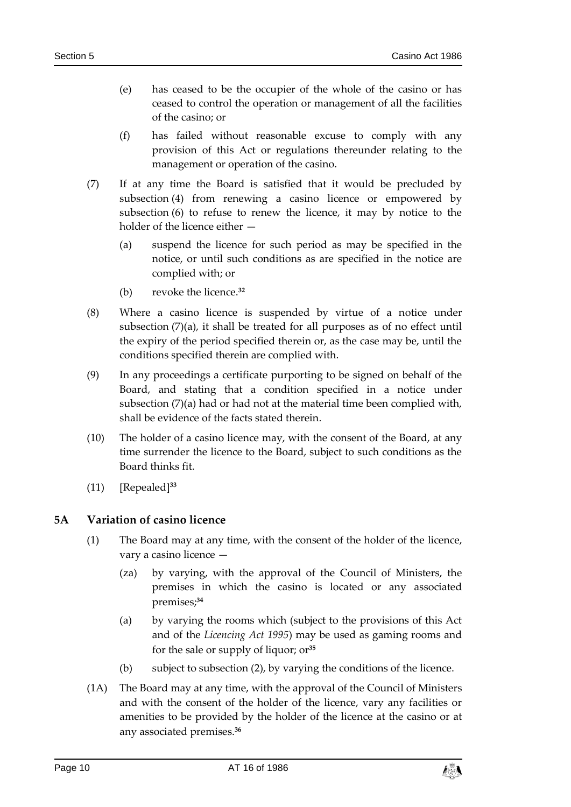- (e) has ceased to be the occupier of the whole of the casino or has ceased to control the operation or management of all the facilities of the casino; or
- (f) has failed without reasonable excuse to comply with any provision of this Act or regulations thereunder relating to the management or operation of the casino.
- (7) If at any time the Board is satisfied that it would be precluded by subsection (4) from renewing a casino licence or empowered by subsection (6) to refuse to renew the licence, it may by notice to the holder of the licence either —
	- (a) suspend the licence for such period as may be specified in the notice, or until such conditions as are specified in the notice are complied with; or
	- (b) revoke the licence.**<sup>32</sup>**
- (8) Where a casino licence is suspended by virtue of a notice under subsection (7)(a), it shall be treated for all purposes as of no effect until the expiry of the period specified therein or, as the case may be, until the conditions specified therein are complied with.
- (9) In any proceedings a certificate purporting to be signed on behalf of the Board, and stating that a condition specified in a notice under subsection (7)(a) had or had not at the material time been complied with, shall be evidence of the facts stated therein.
- (10) The holder of a casino licence may, with the consent of the Board, at any time surrender the licence to the Board, subject to such conditions as the Board thinks fit.
- (11) [Repealed]**<sup>33</sup>**

#### <span id="page-9-0"></span>**5A Variation of casino licence**

- (1) The Board may at any time, with the consent of the holder of the licence, vary a casino licence —
	- (za) by varying, with the approval of the Council of Ministers, the premises in which the casino is located or any associated premises;**<sup>34</sup>**
	- (a) by varying the rooms which (subject to the provisions of this Act and of the *Licencing Act 1995*) may be used as gaming rooms and for the sale or supply of liquor; or**<sup>35</sup>**
	- (b) subject to subsection (2), by varying the conditions of the licence.
- (1A) The Board may at any time, with the approval of the Council of Ministers and with the consent of the holder of the licence, vary any facilities or amenities to be provided by the holder of the licence at the casino or at any associated premises.**36**

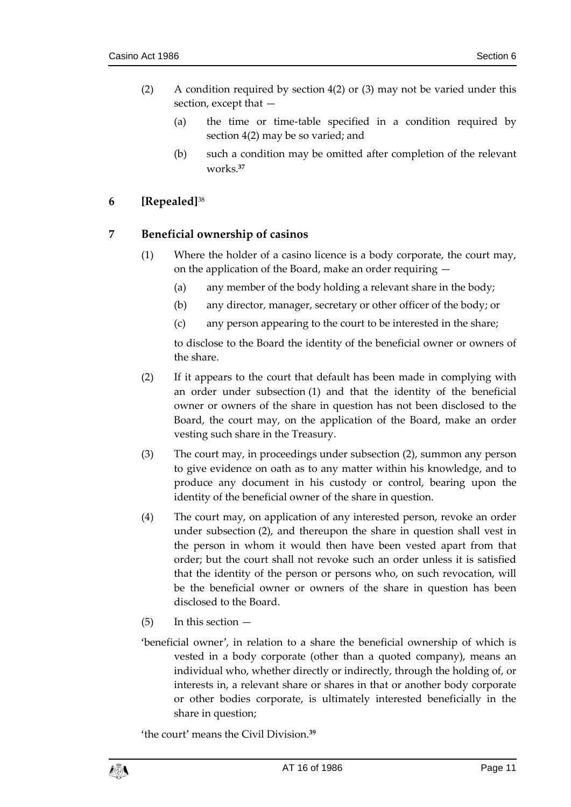- (2) A condition required by section 4(2) or (3) may not be varied under this section, except that —
	- (a) the time or time-table specified in a condition required by section 4(2) may be so varied; and
	- (b) such a condition may be omitted after completion of the relevant works.**<sup>37</sup>**

# <span id="page-10-0"></span>**6 [Repealed]**<sup>38</sup>

## <span id="page-10-1"></span>**7 Beneficial ownership of casinos**

- (1) Where the holder of a casino licence is a body corporate, the court may, on the application of the Board, make an order requiring —
	- (a) any member of the body holding a relevant share in the body;
	- (b) any director, manager, secretary or other officer of the body; or
	- (c) any person appearing to the court to be interested in the share;

to disclose to the Board the identity of the beneficial owner or owners of the share.

- (2) If it appears to the court that default has been made in complying with an order under subsection (1) and that the identity of the beneficial owner or owners of the share in question has not been disclosed to the Board, the court may, on the application of the Board, make an order vesting such share in the Treasury.
- (3) The court may, in proceedings under subsection (2), summon any person to give evidence on oath as to any matter within his knowledge, and to produce any document in his custody or control, bearing upon the identity of the beneficial owner of the share in question.
- (4) The court may, on application of any interested person, revoke an order under subsection (2), and thereupon the share in question shall vest in the person in whom it would then have been vested apart from that order; but the court shall not revoke such an order unless it is satisfied that the identity of the person or persons who, on such revocation, will be the beneficial owner or owners of the share in question has been disclosed to the Board.
- $(5)$  In this section  $-$
- 'beneficial owner', in relation to a share the beneficial ownership of which is vested in a body corporate (other than a quoted company), means an individual who, whether directly or indirectly, through the holding of, or interests in, a relevant share or shares in that or another body corporate or other bodies corporate, is ultimately interested beneficially in the share in question;

'the court' means the Civil Division.**<sup>39</sup>**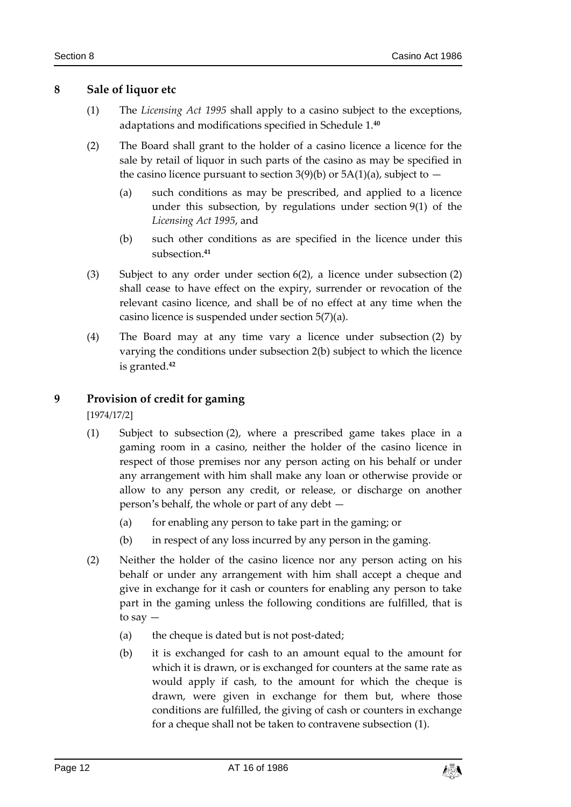#### <span id="page-11-0"></span>**8 Sale of liquor etc**

- (1) The *Licensing Act 1995* shall apply to a casino subject to the exceptions, adaptations and modifications specified in Schedule 1.**<sup>40</sup>**
- (2) The Board shall grant to the holder of a casino licence a licence for the sale by retail of liquor in such parts of the casino as may be specified in the casino licence pursuant to section 3(9)(b) or  $5A(1)(a)$ , subject to  $-$ 
	- (a) such conditions as may be prescribed, and applied to a licence under this subsection, by regulations under section 9(1) of the *Licensing Act 1995*, and
	- (b) such other conditions as are specified in the licence under this subsection.**<sup>41</sup>**
- (3) Subject to any order under section 6(2), a licence under subsection (2) shall cease to have effect on the expiry, surrender or revocation of the relevant casino licence, and shall be of no effect at any time when the casino licence is suspended under section 5(7)(a).
- (4) The Board may at any time vary a licence under subsection (2) by varying the conditions under subsection 2(b) subject to which the licence is granted.**<sup>42</sup>**

#### <span id="page-11-1"></span>**9 Provision of credit for gaming**

[1974/17/2]

- (1) Subject to subsection (2), where a prescribed game takes place in a gaming room in a casino, neither the holder of the casino licence in respect of those premises nor any person acting on his behalf or under any arrangement with him shall make any loan or otherwise provide or allow to any person any credit, or release, or discharge on another person's behalf, the whole or part of any debt —
	- (a) for enabling any person to take part in the gaming; or
	- (b) in respect of any loss incurred by any person in the gaming.
- (2) Neither the holder of the casino licence nor any person acting on his behalf or under any arrangement with him shall accept a cheque and give in exchange for it cash or counters for enabling any person to take part in the gaming unless the following conditions are fulfilled, that is to say —
	- (a) the cheque is dated but is not post-dated;
	- (b) it is exchanged for cash to an amount equal to the amount for which it is drawn, or is exchanged for counters at the same rate as would apply if cash, to the amount for which the cheque is drawn, were given in exchange for them but, where those conditions are fulfilled, the giving of cash or counters in exchange for a cheque shall not be taken to contravene subsection (1).

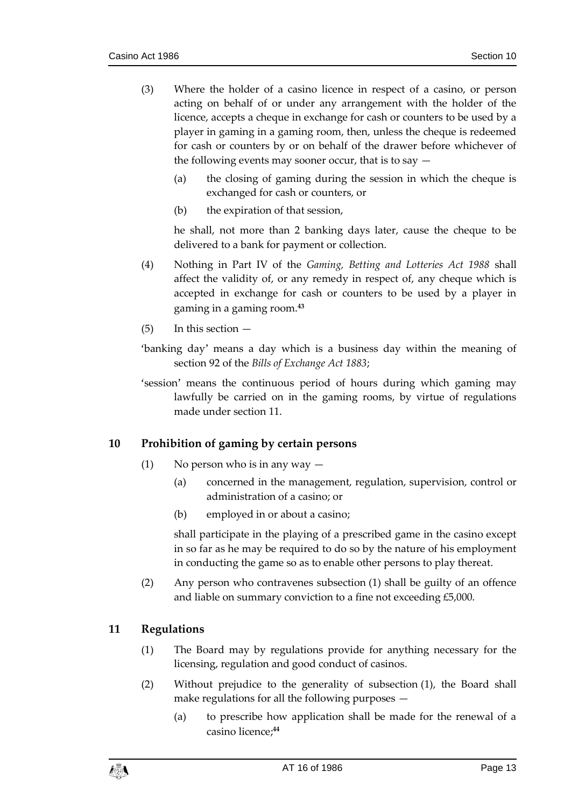- (3) Where the holder of a casino licence in respect of a casino, or person acting on behalf of or under any arrangement with the holder of the licence, accepts a cheque in exchange for cash or counters to be used by a player in gaming in a gaming room, then, unless the cheque is redeemed for cash or counters by or on behalf of the drawer before whichever of the following events may sooner occur, that is to say  $-$ 
	- (a) the closing of gaming during the session in which the cheque is exchanged for cash or counters, or
	- (b) the expiration of that session,

he shall, not more than 2 banking days later, cause the cheque to be delivered to a bank for payment or collection.

- (4) Nothing in Part IV of the *Gaming, Betting and Lotteries Act 1988* shall affect the validity of, or any remedy in respect of, any cheque which is accepted in exchange for cash or counters to be used by a player in gaming in a gaming room.**<sup>43</sup>**
- $(5)$  In this section  $-$
- 'banking day' means a day which is a business day within the meaning of section 92 of the *Bills of Exchange Act 1883*;
- 'session' means the continuous period of hours during which gaming may lawfully be carried on in the gaming rooms, by virtue of regulations made under section 11.

#### <span id="page-12-0"></span>**10 Prohibition of gaming by certain persons**

- (1) No person who is in any way  $-$ 
	- (a) concerned in the management, regulation, supervision, control or administration of a casino; or
	- (b) employed in or about a casino;

shall participate in the playing of a prescribed game in the casino except in so far as he may be required to do so by the nature of his employment in conducting the game so as to enable other persons to play thereat.

(2) Any person who contravenes subsection (1) shall be guilty of an offence and liable on summary conviction to a fine not exceeding £5,000.

#### <span id="page-12-1"></span>**11 Regulations**

- (1) The Board may by regulations provide for anything necessary for the licensing, regulation and good conduct of casinos.
- (2) Without prejudice to the generality of subsection (1), the Board shall make regulations for all the following purposes —
	- (a) to prescribe how application shall be made for the renewal of a casino licence; **44**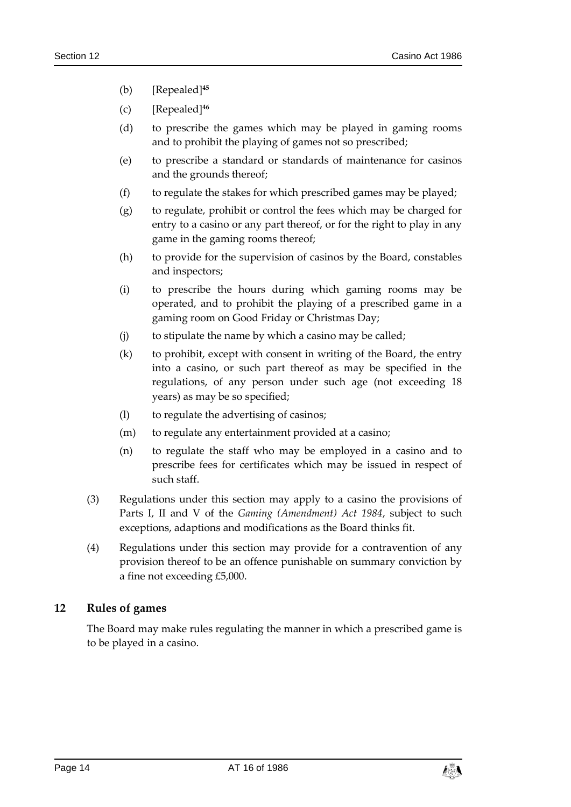- (b) [Repealed]**<sup>45</sup>**
- (c) [Repealed]**<sup>46</sup>**
- (d) to prescribe the games which may be played in gaming rooms and to prohibit the playing of games not so prescribed;
- (e) to prescribe a standard or standards of maintenance for casinos and the grounds thereof;
- (f) to regulate the stakes for which prescribed games may be played;
- (g) to regulate, prohibit or control the fees which may be charged for entry to a casino or any part thereof, or for the right to play in any game in the gaming rooms thereof;
- (h) to provide for the supervision of casinos by the Board, constables and inspectors;
- (i) to prescribe the hours during which gaming rooms may be operated, and to prohibit the playing of a prescribed game in a gaming room on Good Friday or Christmas Day;
- (j) to stipulate the name by which a casino may be called;
- (k) to prohibit, except with consent in writing of the Board, the entry into a casino, or such part thereof as may be specified in the regulations, of any person under such age (not exceeding 18 years) as may be so specified;
- (l) to regulate the advertising of casinos;
- (m) to regulate any entertainment provided at a casino;
- (n) to regulate the staff who may be employed in a casino and to prescribe fees for certificates which may be issued in respect of such staff.
- (3) Regulations under this section may apply to a casino the provisions of Parts I, II and V of the *Gaming (Amendment) Act 1984*, subject to such exceptions, adaptions and modifications as the Board thinks fit.
- (4) Regulations under this section may provide for a contravention of any provision thereof to be an offence punishable on summary conviction by a fine not exceeding £5,000.

#### <span id="page-13-0"></span>**12 Rules of games**

The Board may make rules regulating the manner in which a prescribed game is to be played in a casino.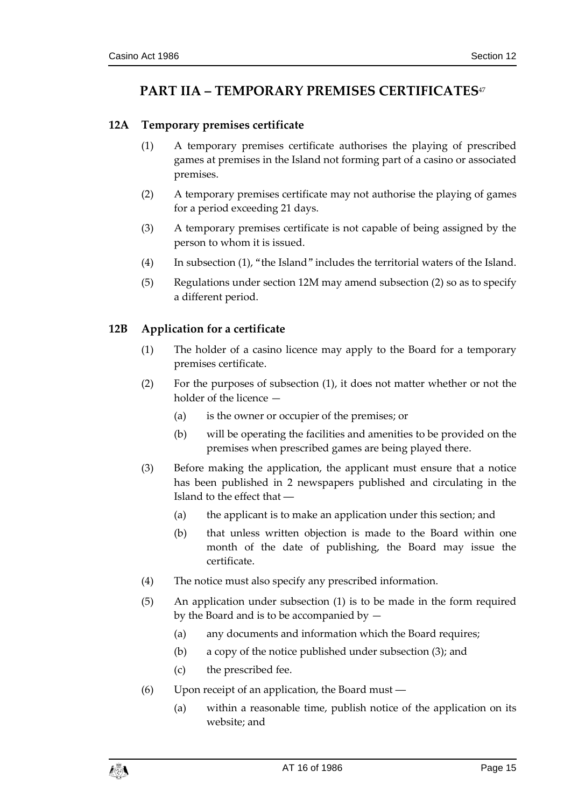# <span id="page-14-0"></span>**PART IIA – TEMPORARY PREMISES CERTIFICATES**<sup>47</sup>

## <span id="page-14-1"></span>**12A Temporary premises certificate**

- (1) A temporary premises certificate authorises the playing of prescribed games at premises in the Island not forming part of a casino or associated premises.
- (2) A temporary premises certificate may not authorise the playing of games for a period exceeding 21 days.
- (3) A temporary premises certificate is not capable of being assigned by the person to whom it is issued.
- (4) In subsection (1), "the Island" includes the territorial waters of the Island.
- (5) Regulations under section 12M may amend subsection (2) so as to specify a different period.

## <span id="page-14-2"></span>**12B Application for a certificate**

- (1) The holder of a casino licence may apply to the Board for a temporary premises certificate.
- (2) For the purposes of subsection (1), it does not matter whether or not the holder of the licence —
	- (a) is the owner or occupier of the premises; or
	- (b) will be operating the facilities and amenities to be provided on the premises when prescribed games are being played there.
- (3) Before making the application, the applicant must ensure that a notice has been published in 2 newspapers published and circulating in the Island to the effect that ―
	- (a) the applicant is to make an application under this section; and
	- (b) that unless written objection is made to the Board within one month of the date of publishing, the Board may issue the certificate.
- (4) The notice must also specify any prescribed information.
- (5) An application under subsection (1) is to be made in the form required by the Board and is to be accompanied by —
	- (a) any documents and information which the Board requires;
	- (b) a copy of the notice published under subsection (3); and
	- (c) the prescribed fee.
- (6) Upon receipt of an application, the Board must ―
	- (a) within a reasonable time, publish notice of the application on its website; and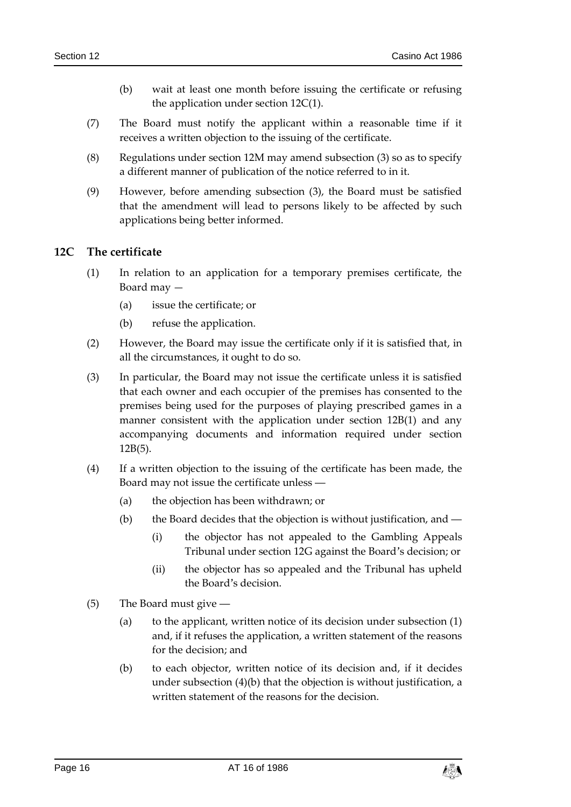- (b) wait at least one month before issuing the certificate or refusing the application under section 12C(1).
- (7) The Board must notify the applicant within a reasonable time if it receives a written objection to the issuing of the certificate.
- (8) Regulations under section 12M may amend subsection (3) so as to specify a different manner of publication of the notice referred to in it.
- (9) However, before amending subsection (3), the Board must be satisfied that the amendment will lead to persons likely to be affected by such applications being better informed.

#### <span id="page-15-0"></span>**12C The certificate**

- (1) In relation to an application for a temporary premises certificate, the Board may —
	- (a) issue the certificate; or
	- (b) refuse the application.
- (2) However, the Board may issue the certificate only if it is satisfied that, in all the circumstances, it ought to do so.
- (3) In particular, the Board may not issue the certificate unless it is satisfied that each owner and each occupier of the premises has consented to the premises being used for the purposes of playing prescribed games in a manner consistent with the application under section 12B(1) and any accompanying documents and information required under section 12B(5).
- (4) If a written objection to the issuing of the certificate has been made, the Board may not issue the certificate unless ―
	- (a) the objection has been withdrawn; or
	- (b) the Board decides that the objection is without justification, and ―
		- (i) the objector has not appealed to the Gambling Appeals Tribunal under section 12G against the Board's decision; or
		- (ii) the objector has so appealed and the Tribunal has upheld the Board's decision.
- (5) The Board must give ―
	- (a) to the applicant, written notice of its decision under subsection (1) and, if it refuses the application, a written statement of the reasons for the decision; and
	- (b) to each objector, written notice of its decision and, if it decides under subsection (4)(b) that the objection is without justification, a written statement of the reasons for the decision.

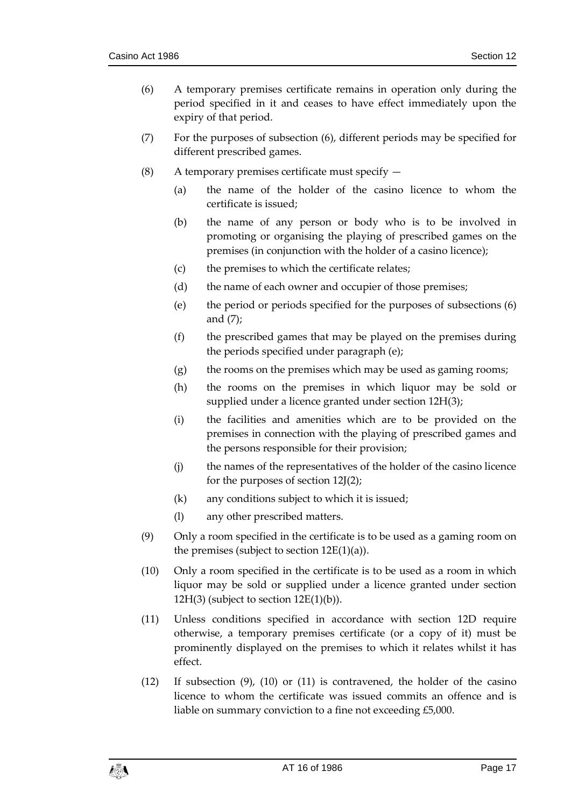- (6) A temporary premises certificate remains in operation only during the period specified in it and ceases to have effect immediately upon the expiry of that period.
- (7) For the purposes of subsection (6), different periods may be specified for different prescribed games.
- (8) A temporary premises certificate must specify
	- (a) the name of the holder of the casino licence to whom the certificate is issued;
	- (b) the name of any person or body who is to be involved in promoting or organising the playing of prescribed games on the premises (in conjunction with the holder of a casino licence);
	- (c) the premises to which the certificate relates;
	- (d) the name of each owner and occupier of those premises;
	- (e) the period or periods specified for the purposes of subsections (6) and (7);
	- (f) the prescribed games that may be played on the premises during the periods specified under paragraph (e);
	- (g) the rooms on the premises which may be used as gaming rooms;
	- (h) the rooms on the premises in which liquor may be sold or supplied under a licence granted under section 12H(3);
	- (i) the facilities and amenities which are to be provided on the premises in connection with the playing of prescribed games and the persons responsible for their provision;
	- (j) the names of the representatives of the holder of the casino licence for the purposes of section 12J(2);
	- (k) any conditions subject to which it is issued;
	- (l) any other prescribed matters.
- (9) Only a room specified in the certificate is to be used as a gaming room on the premises (subject to section  $12E(1)(a)$ ).
- (10) Only a room specified in the certificate is to be used as a room in which liquor may be sold or supplied under a licence granted under section  $12H(3)$  (subject to section  $12E(1)(b)$ ).
- (11) Unless conditions specified in accordance with section 12D require otherwise, a temporary premises certificate (or a copy of it) must be prominently displayed on the premises to which it relates whilst it has effect.
- (12) If subsection (9), (10) or (11) is contravened, the holder of the casino licence to whom the certificate was issued commits an offence and is liable on summary conviction to a fine not exceeding £5,000.

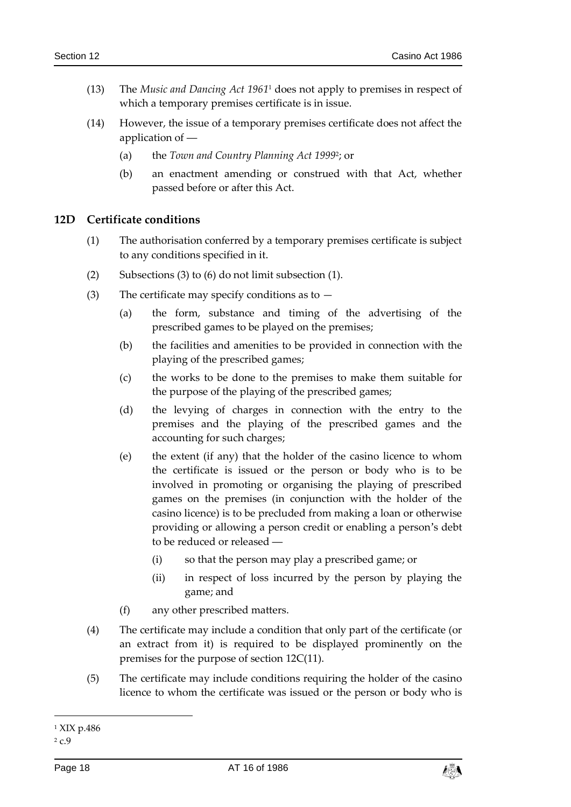- (13) The *Music and Dancing Act 1961*<sup>1</sup> does not apply to premises in respect of which a temporary premises certificate is in issue.
- (14) However, the issue of a temporary premises certificate does not affect the application of -
	- (a) the *Town and Country Planning Act 1999*<sup>2</sup> ; or
	- (b) an enactment amending or construed with that Act, whether passed before or after this Act.

#### <span id="page-17-0"></span>**12D Certificate conditions**

- (1) The authorisation conferred by a temporary premises certificate is subject to any conditions specified in it.
- (2) Subsections (3) to (6) do not limit subsection (1).
- (3) The certificate may specify conditions as to  $-$ 
	- (a) the form, substance and timing of the advertising of the prescribed games to be played on the premises;
	- (b) the facilities and amenities to be provided in connection with the playing of the prescribed games;
	- (c) the works to be done to the premises to make them suitable for the purpose of the playing of the prescribed games;
	- (d) the levying of charges in connection with the entry to the premises and the playing of the prescribed games and the accounting for such charges;
	- (e) the extent (if any) that the holder of the casino licence to whom the certificate is issued or the person or body who is to be involved in promoting or organising the playing of prescribed games on the premises (in conjunction with the holder of the casino licence) is to be precluded from making a loan or otherwise providing or allowing a person credit or enabling a person's debt to be reduced or released ―
		- (i) so that the person may play a prescribed game; or
		- (ii) in respect of loss incurred by the person by playing the game; and
	- (f) any other prescribed matters.
- (4) The certificate may include a condition that only part of the certificate (or an extract from it) is required to be displayed prominently on the premises for the purpose of section 12C(11).
- (5) The certificate may include conditions requiring the holder of the casino licence to whom the certificate was issued or the person or body who is

1



<sup>1</sup> XIX p.486

<sup>2</sup> c.9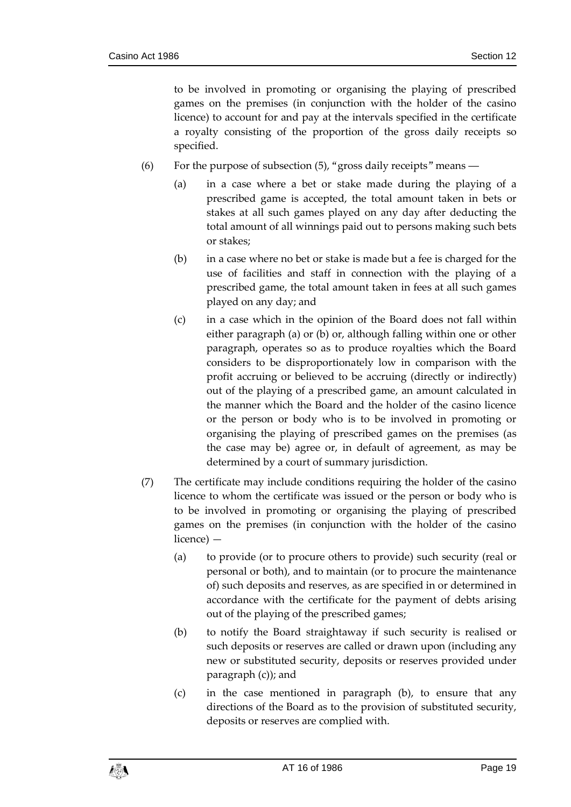to be involved in promoting or organising the playing of prescribed games on the premises (in conjunction with the holder of the casino licence) to account for and pay at the intervals specified in the certificate a royalty consisting of the proportion of the gross daily receipts so specified.

- (6) For the purpose of subsection (5), "gross daily receipts" means ―
	- (a) in a case where a bet or stake made during the playing of a prescribed game is accepted, the total amount taken in bets or stakes at all such games played on any day after deducting the total amount of all winnings paid out to persons making such bets or stakes;
	- (b) in a case where no bet or stake is made but a fee is charged for the use of facilities and staff in connection with the playing of a prescribed game, the total amount taken in fees at all such games played on any day; and
	- (c) in a case which in the opinion of the Board does not fall within either paragraph (a) or (b) or, although falling within one or other paragraph, operates so as to produce royalties which the Board considers to be disproportionately low in comparison with the profit accruing or believed to be accruing (directly or indirectly) out of the playing of a prescribed game, an amount calculated in the manner which the Board and the holder of the casino licence or the person or body who is to be involved in promoting or organising the playing of prescribed games on the premises (as the case may be) agree or, in default of agreement, as may be determined by a court of summary jurisdiction.
- (7) The certificate may include conditions requiring the holder of the casino licence to whom the certificate was issued or the person or body who is to be involved in promoting or organising the playing of prescribed games on the premises (in conjunction with the holder of the casino licence) —
	- (a) to provide (or to procure others to provide) such security (real or personal or both), and to maintain (or to procure the maintenance of) such deposits and reserves, as are specified in or determined in accordance with the certificate for the payment of debts arising out of the playing of the prescribed games;
	- (b) to notify the Board straightaway if such security is realised or such deposits or reserves are called or drawn upon (including any new or substituted security, deposits or reserves provided under paragraph (c)); and
	- (c) in the case mentioned in paragraph (b), to ensure that any directions of the Board as to the provision of substituted security, deposits or reserves are complied with.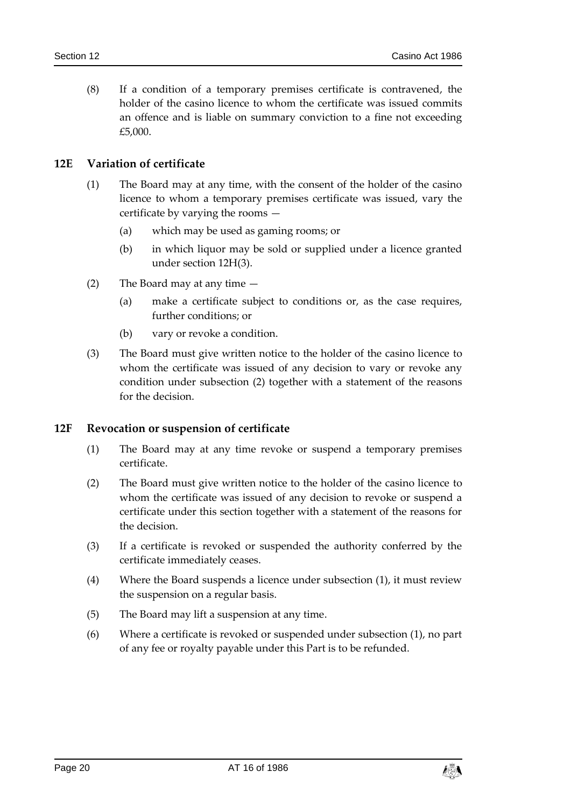(8) If a condition of a temporary premises certificate is contravened, the holder of the casino licence to whom the certificate was issued commits an offence and is liable on summary conviction to a fine not exceeding £5,000.

## <span id="page-19-0"></span>**12E Variation of certificate**

- (1) The Board may at any time, with the consent of the holder of the casino licence to whom a temporary premises certificate was issued, vary the certificate by varying the rooms —
	- (a) which may be used as gaming rooms; or
	- (b) in which liquor may be sold or supplied under a licence granted under section 12H(3).
- (2) The Board may at any time
	- (a) make a certificate subject to conditions or, as the case requires, further conditions; or
	- (b) vary or revoke a condition.
- (3) The Board must give written notice to the holder of the casino licence to whom the certificate was issued of any decision to vary or revoke any condition under subsection (2) together with a statement of the reasons for the decision.

#### <span id="page-19-1"></span>**12F Revocation or suspension of certificate**

- (1) The Board may at any time revoke or suspend a temporary premises certificate.
- (2) The Board must give written notice to the holder of the casino licence to whom the certificate was issued of any decision to revoke or suspend a certificate under this section together with a statement of the reasons for the decision.
- (3) If a certificate is revoked or suspended the authority conferred by the certificate immediately ceases.
- (4) Where the Board suspends a licence under subsection (1), it must review the suspension on a regular basis.
- (5) The Board may lift a suspension at any time.
- (6) Where a certificate is revoked or suspended under subsection (1), no part of any fee or royalty payable under this Part is to be refunded.

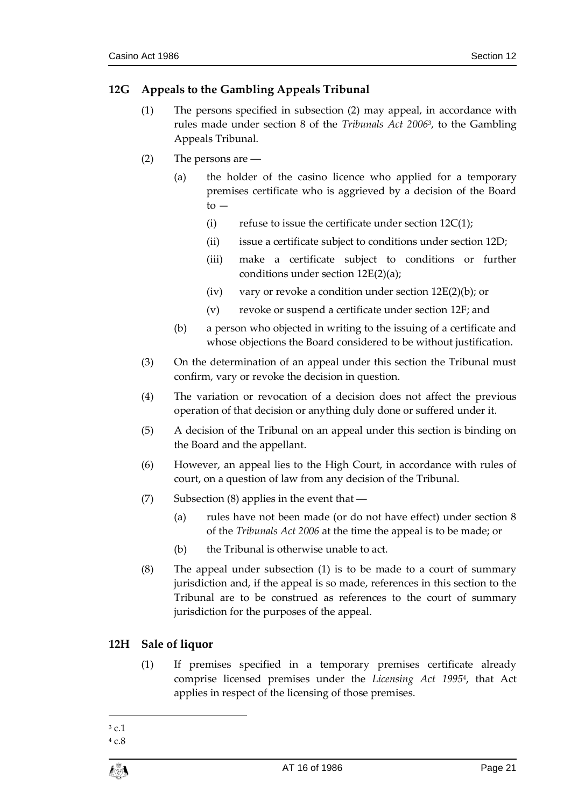# <span id="page-20-0"></span>**12G Appeals to the Gambling Appeals Tribunal**

- (1) The persons specified in subsection (2) may appeal, in accordance with rules made under section 8 of the *Tribunals Act 2006*<sup>3</sup> , to the Gambling Appeals Tribunal.
- (2) The persons are ―
	- (a) the holder of the casino licence who applied for a temporary premises certificate who is aggrieved by a decision of the Board  $to -$ 
		- (i) refuse to issue the certificate under section  $12C(1)$ ;
		- (ii) issue a certificate subject to conditions under section 12D;
		- (iii) make a certificate subject to conditions or further conditions under section 12E(2)(a);
		- (iv) vary or revoke a condition under section  $12E(2)(b)$ ; or
		- (v) revoke or suspend a certificate under section 12F; and
	- (b) a person who objected in writing to the issuing of a certificate and whose objections the Board considered to be without justification.
- (3) On the determination of an appeal under this section the Tribunal must confirm, vary or revoke the decision in question.
- (4) The variation or revocation of a decision does not affect the previous operation of that decision or anything duly done or suffered under it.
- (5) A decision of the Tribunal on an appeal under this section is binding on the Board and the appellant.
- (6) However, an appeal lies to the High Court, in accordance with rules of court, on a question of law from any decision of the Tribunal.
- (7) Subsection (8) applies in the event that ―
	- (a) rules have not been made (or do not have effect) under section 8 of the *Tribunals Act 2006* at the time the appeal is to be made; or
	- (b) the Tribunal is otherwise unable to act.
- (8) The appeal under subsection (1) is to be made to a court of summary jurisdiction and, if the appeal is so made, references in this section to the Tribunal are to be construed as references to the court of summary jurisdiction for the purposes of the appeal.

## <span id="page-20-1"></span>**12H Sale of liquor**

(1) If premises specified in a temporary premises certificate already comprise licensed premises under the *Licensing Act 1995*<sup>4</sup> , that Act applies in respect of the licensing of those premises.

 $\overline{a}$ <sup>3</sup> c.1

<sup>4</sup> c.8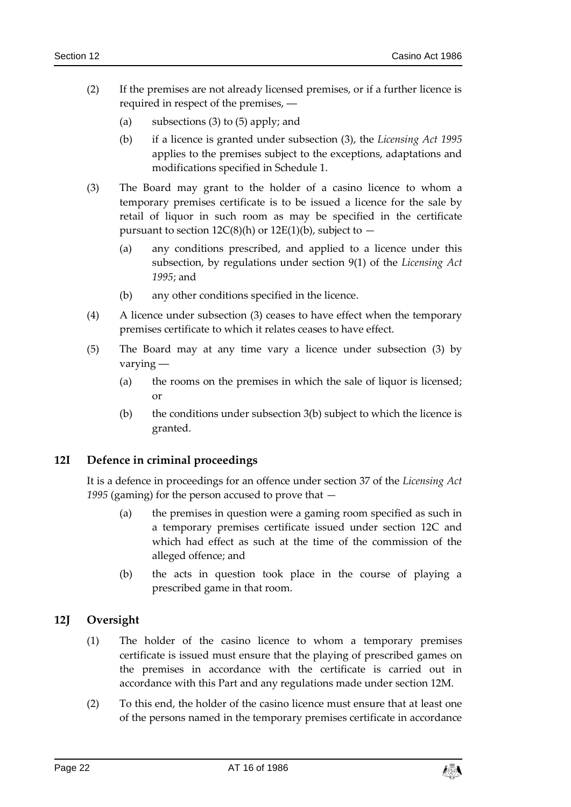- (2) If the premises are not already licensed premises, or if a further licence is required in respect of the premises, ―
	- (a) subsections (3) to (5) apply; and
	- (b) if a licence is granted under subsection (3), the *Licensing Act 1995* applies to the premises subject to the exceptions, adaptations and modifications specified in Schedule 1.
- (3) The Board may grant to the holder of a casino licence to whom a temporary premises certificate is to be issued a licence for the sale by retail of liquor in such room as may be specified in the certificate pursuant to section  $12C(8)(h)$  or  $12E(1)(b)$ , subject to  $-$ 
	- (a) any conditions prescribed, and applied to a licence under this subsection, by regulations under section 9(1) of the *Licensing Act 1995*; and
	- (b) any other conditions specified in the licence.
- (4) A licence under subsection (3) ceases to have effect when the temporary premises certificate to which it relates ceases to have effect.
- (5) The Board may at any time vary a licence under subsection (3) by varying ―
	- (a) the rooms on the premises in which the sale of liquor is licensed; or
	- (b) the conditions under subsection  $3(b)$  subject to which the licence is granted.

#### <span id="page-21-0"></span>**12I Defence in criminal proceedings**

It is a defence in proceedings for an offence under section 37 of the *Licensing Act 1995* (gaming) for the person accused to prove that —

- (a) the premises in question were a gaming room specified as such in a temporary premises certificate issued under section 12C and which had effect as such at the time of the commission of the alleged offence; and
- (b) the acts in question took place in the course of playing a prescribed game in that room.

#### <span id="page-21-1"></span>**12J Oversight**

- (1) The holder of the casino licence to whom a temporary premises certificate is issued must ensure that the playing of prescribed games on the premises in accordance with the certificate is carried out in accordance with this Part and any regulations made under section 12M.
- (2) To this end, the holder of the casino licence must ensure that at least one of the persons named in the temporary premises certificate in accordance

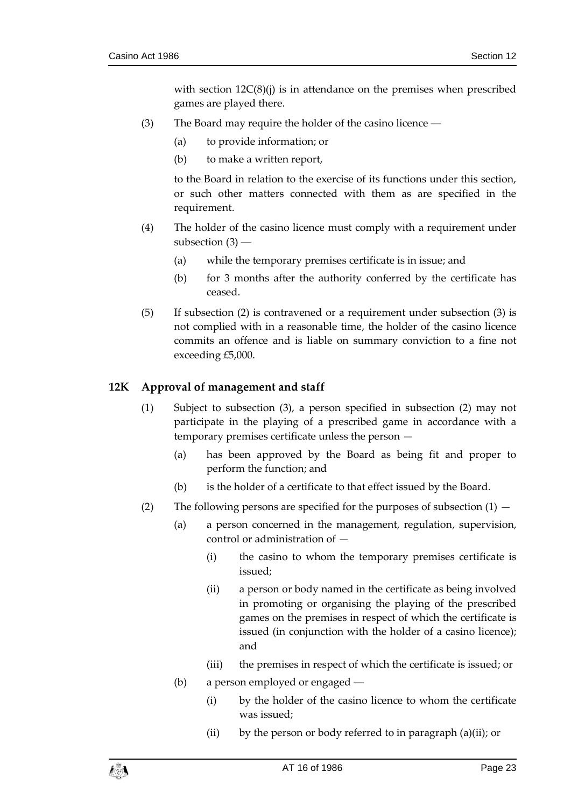with section  $12C(8)(i)$  is in attendance on the premises when prescribed games are played there.

- (3) The Board may require the holder of the casino licence ―
	- (a) to provide information; or
	- (b) to make a written report,

to the Board in relation to the exercise of its functions under this section, or such other matters connected with them as are specified in the requirement.

- (4) The holder of the casino licence must comply with a requirement under subsection (3) ―
	- (a) while the temporary premises certificate is in issue; and
	- (b) for 3 months after the authority conferred by the certificate has ceased.
- (5) If subsection (2) is contravened or a requirement under subsection (3) is not complied with in a reasonable time, the holder of the casino licence commits an offence and is liable on summary conviction to a fine not exceeding £5,000.

#### <span id="page-22-0"></span>**12K Approval of management and staff**

- (1) Subject to subsection (3), a person specified in subsection (2) may not participate in the playing of a prescribed game in accordance with a temporary premises certificate unless the person —
	- (a) has been approved by the Board as being fit and proper to perform the function; and
	- (b) is the holder of a certificate to that effect issued by the Board.
- (2) The following persons are specified for the purposes of subsection  $(1)$ 
	- (a) a person concerned in the management, regulation, supervision, control or administration of —
		- (i) the casino to whom the temporary premises certificate is issued;
		- (ii) a person or body named in the certificate as being involved in promoting or organising the playing of the prescribed games on the premises in respect of which the certificate is issued (in conjunction with the holder of a casino licence); and
		- (iii) the premises in respect of which the certificate is issued; or
	- (b) a person employed or engaged ―
		- (i) by the holder of the casino licence to whom the certificate was issued;
		- (ii) by the person or body referred to in paragraph (a)(ii); or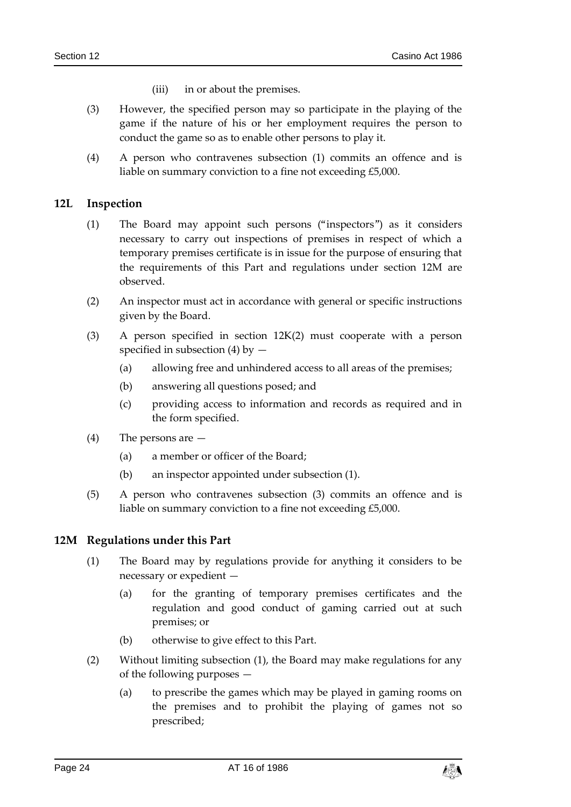- (iii) in or about the premises.
- (3) However, the specified person may so participate in the playing of the game if the nature of his or her employment requires the person to conduct the game so as to enable other persons to play it.
- (4) A person who contravenes subsection (1) commits an offence and is liable on summary conviction to a fine not exceeding £5,000.

#### <span id="page-23-0"></span>**12L Inspection**

- (1) The Board may appoint such persons ("inspectors") as it considers necessary to carry out inspections of premises in respect of which a temporary premises certificate is in issue for the purpose of ensuring that the requirements of this Part and regulations under section 12M are observed.
- (2) An inspector must act in accordance with general or specific instructions given by the Board.
- (3) A person specified in section 12K(2) must cooperate with a person specified in subsection (4) by  $-$ 
	- (a) allowing free and unhindered access to all areas of the premises;
	- (b) answering all questions posed; and
	- (c) providing access to information and records as required and in the form specified.
- (4) The persons are
	- (a) a member or officer of the Board;
	- (b) an inspector appointed under subsection (1).
- (5) A person who contravenes subsection (3) commits an offence and is liable on summary conviction to a fine not exceeding £5,000.

#### <span id="page-23-1"></span>**12M Regulations under this Part**

- (1) The Board may by regulations provide for anything it considers to be necessary or expedient —
	- (a) for the granting of temporary premises certificates and the regulation and good conduct of gaming carried out at such premises; or
	- (b) otherwise to give effect to this Part.
- (2) Without limiting subsection (1), the Board may make regulations for any of the following purposes —
	- (a) to prescribe the games which may be played in gaming rooms on the premises and to prohibit the playing of games not so prescribed;

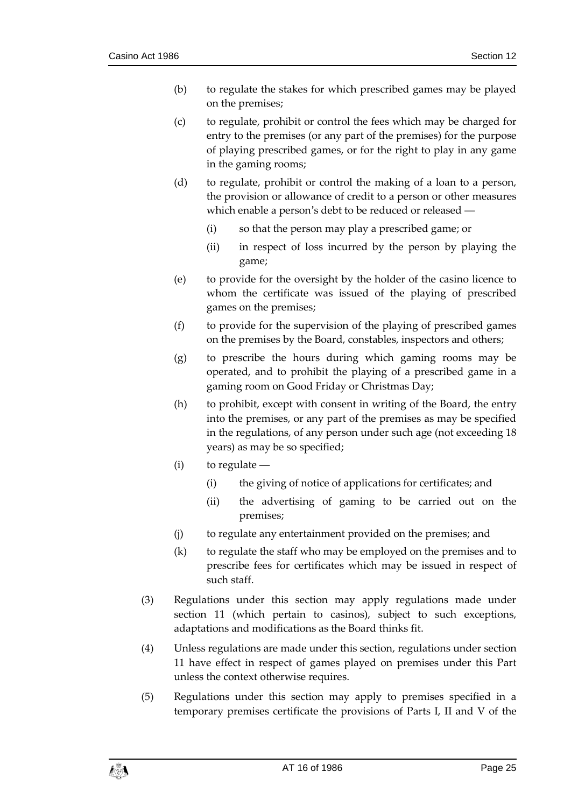- (b) to regulate the stakes for which prescribed games may be played on the premises;
- (c) to regulate, prohibit or control the fees which may be charged for entry to the premises (or any part of the premises) for the purpose of playing prescribed games, or for the right to play in any game in the gaming rooms;
- (d) to regulate, prohibit or control the making of a loan to a person, the provision or allowance of credit to a person or other measures which enable a person's debt to be reduced or released ―
	- (i) so that the person may play a prescribed game; or
	- (ii) in respect of loss incurred by the person by playing the game;
- (e) to provide for the oversight by the holder of the casino licence to whom the certificate was issued of the playing of prescribed games on the premises;
- (f) to provide for the supervision of the playing of prescribed games on the premises by the Board, constables, inspectors and others;
- (g) to prescribe the hours during which gaming rooms may be operated, and to prohibit the playing of a prescribed game in a gaming room on Good Friday or Christmas Day;
- (h) to prohibit, except with consent in writing of the Board, the entry into the premises, or any part of the premises as may be specified in the regulations, of any person under such age (not exceeding 18 years) as may be so specified;
- (i) to regulate ―
	- (i) the giving of notice of applications for certificates; and
	- (ii) the advertising of gaming to be carried out on the premises;
- (j) to regulate any entertainment provided on the premises; and
- (k) to regulate the staff who may be employed on the premises and to prescribe fees for certificates which may be issued in respect of such staff.
- (3) Regulations under this section may apply regulations made under section 11 (which pertain to casinos), subject to such exceptions, adaptations and modifications as the Board thinks fit.
- (4) Unless regulations are made under this section, regulations under section 11 have effect in respect of games played on premises under this Part unless the context otherwise requires.
- (5) Regulations under this section may apply to premises specified in a temporary premises certificate the provisions of Parts I, II and V of the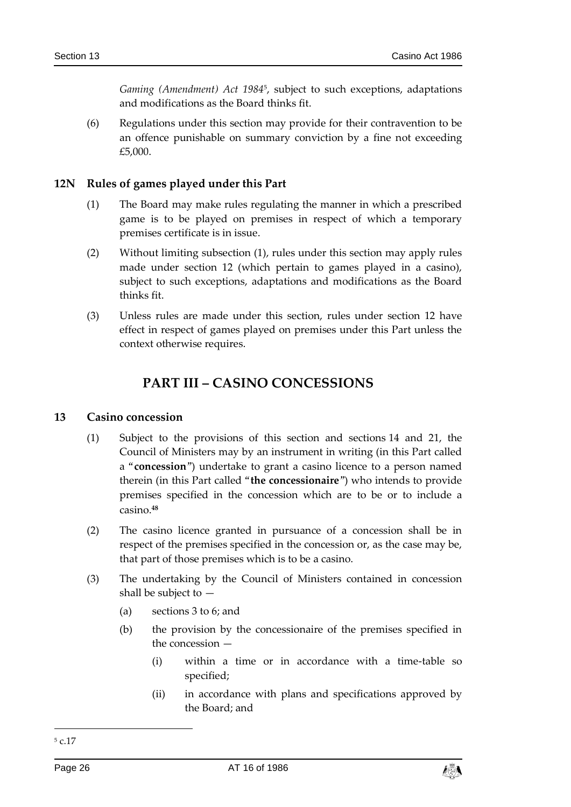*Gaming (Amendment) Act 1984*<sup>5</sup> , subject to such exceptions, adaptations and modifications as the Board thinks fit.

(6) Regulations under this section may provide for their contravention to be an offence punishable on summary conviction by a fine not exceeding £5,000.

#### <span id="page-25-0"></span>**12N Rules of games played under this Part**

- (1) The Board may make rules regulating the manner in which a prescribed game is to be played on premises in respect of which a temporary premises certificate is in issue.
- (2) Without limiting subsection (1), rules under this section may apply rules made under section 12 (which pertain to games played in a casino), subject to such exceptions, adaptations and modifications as the Board thinks fit.
- <span id="page-25-1"></span>(3) Unless rules are made under this section, rules under section 12 have effect in respect of games played on premises under this Part unless the context otherwise requires.

# **PART III – CASINO CONCESSIONS**

#### <span id="page-25-2"></span>**13 Casino concession**

- (1) Subject to the provisions of this section and sections 14 and 21, the Council of Ministers may by an instrument in writing (in this Part called a "**concession**") undertake to grant a casino licence to a person named therein (in this Part called "**the concessionaire**") who intends to provide premises specified in the concession which are to be or to include a casino.**<sup>48</sup>**
- (2) The casino licence granted in pursuance of a concession shall be in respect of the premises specified in the concession or, as the case may be, that part of those premises which is to be a casino.
- (3) The undertaking by the Council of Ministers contained in concession shall be subject to —
	- (a) sections 3 to 6; and
	- (b) the provision by the concessionaire of the premises specified in the concession —
		- (i) within a time or in accordance with a time-table so specified;
		- (ii) in accordance with plans and specifications approved by the Board; and

-



<sup>5</sup> c.17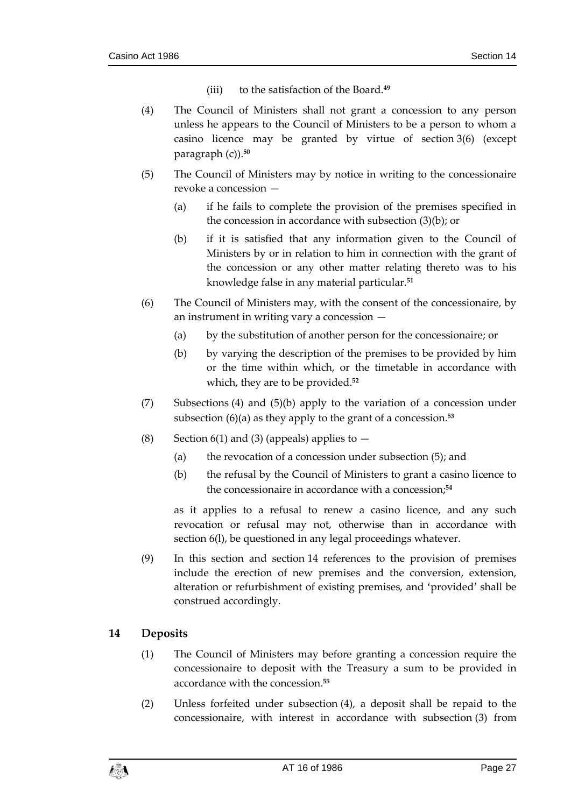- (iii) to the satisfaction of the Board.**<sup>49</sup>**
- (4) The Council of Ministers shall not grant a concession to any person unless he appears to the Council of Ministers to be a person to whom a casino licence may be granted by virtue of section 3(6) (except paragraph (c)).**<sup>50</sup>**
- (5) The Council of Ministers may by notice in writing to the concessionaire revoke a concession —
	- (a) if he fails to complete the provision of the premises specified in the concession in accordance with subsection (3)(b); or
	- (b) if it is satisfied that any information given to the Council of Ministers by or in relation to him in connection with the grant of the concession or any other matter relating thereto was to his knowledge false in any material particular.**<sup>51</sup>**
- (6) The Council of Ministers may, with the consent of the concessionaire, by an instrument in writing vary a concession —
	- (a) by the substitution of another person for the concessionaire; or
	- (b) by varying the description of the premises to be provided by him or the time within which, or the timetable in accordance with which, they are to be provided.**<sup>52</sup>**
- (7) Subsections (4) and (5)(b) apply to the variation of a concession under subsection (6)(a) as they apply to the grant of a concession.**<sup>53</sup>**
- (8) Section 6(1) and (3) (appeals) applies to  $-$ 
	- (a) the revocation of a concession under subsection (5); and
	- (b) the refusal by the Council of Ministers to grant a casino licence to the concessionaire in accordance with a concession;**<sup>54</sup>**

as it applies to a refusal to renew a casino licence, and any such revocation or refusal may not, otherwise than in accordance with section 6(l), be questioned in any legal proceedings whatever.

(9) In this section and section 14 references to the provision of premises include the erection of new premises and the conversion, extension, alteration or refurbishment of existing premises, and 'provided' shall be construed accordingly.

#### <span id="page-26-0"></span>**14 Deposits**

- (1) The Council of Ministers may before granting a concession require the concessionaire to deposit with the Treasury a sum to be provided in accordance with the concession. **55**
- (2) Unless forfeited under subsection (4), a deposit shall be repaid to the concessionaire, with interest in accordance with subsection (3) from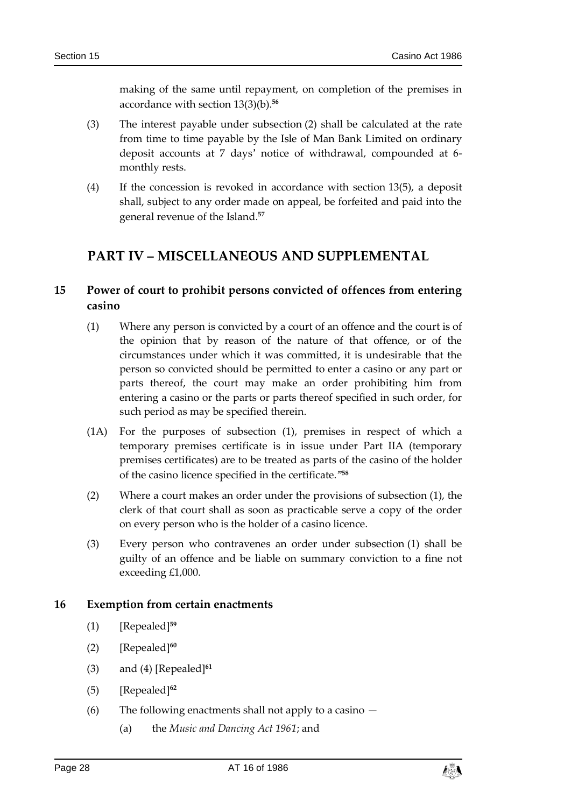making of the same until repayment, on completion of the premises in accordance with section 13(3)(b).**<sup>56</sup>**

- (3) The interest payable under subsection (2) shall be calculated at the rate from time to time payable by the Isle of Man Bank Limited on ordinary deposit accounts at 7 days' notice of withdrawal, compounded at 6 monthly rests.
- (4) If the concession is revoked in accordance with section 13(5), a deposit shall, subject to any order made on appeal, be forfeited and paid into the general revenue of the Island.**<sup>57</sup>**

# <span id="page-27-0"></span>**PART IV – MISCELLANEOUS AND SUPPLEMENTAL**

# <span id="page-27-1"></span>**15 Power of court to prohibit persons convicted of offences from entering casino**

- (1) Where any person is convicted by a court of an offence and the court is of the opinion that by reason of the nature of that offence, or of the circumstances under which it was committed, it is undesirable that the person so convicted should be permitted to enter a casino or any part or parts thereof, the court may make an order prohibiting him from entering a casino or the parts or parts thereof specified in such order, for such period as may be specified therein.
- (1A) For the purposes of subsection (1), premises in respect of which a temporary premises certificate is in issue under Part IIA (temporary premises certificates) are to be treated as parts of the casino of the holder of the casino licence specified in the certificate."**<sup>58</sup>**
- (2) Where a court makes an order under the provisions of subsection (1), the clerk of that court shall as soon as practicable serve a copy of the order on every person who is the holder of a casino licence.
- (3) Every person who contravenes an order under subsection (1) shall be guilty of an offence and be liable on summary conviction to a fine not exceeding £1,000.

#### <span id="page-27-2"></span>**16 Exemption from certain enactments**

- (1) [Repealed]**<sup>59</sup>**
- (2) [Repealed]**<sup>60</sup>**
- (3) and (4) [Repealed]**<sup>61</sup>**
- (5) [Repealed]**<sup>62</sup>**
- (6) The following enactments shall not apply to a casino
	- (a) the *Music and Dancing Act 1961*; and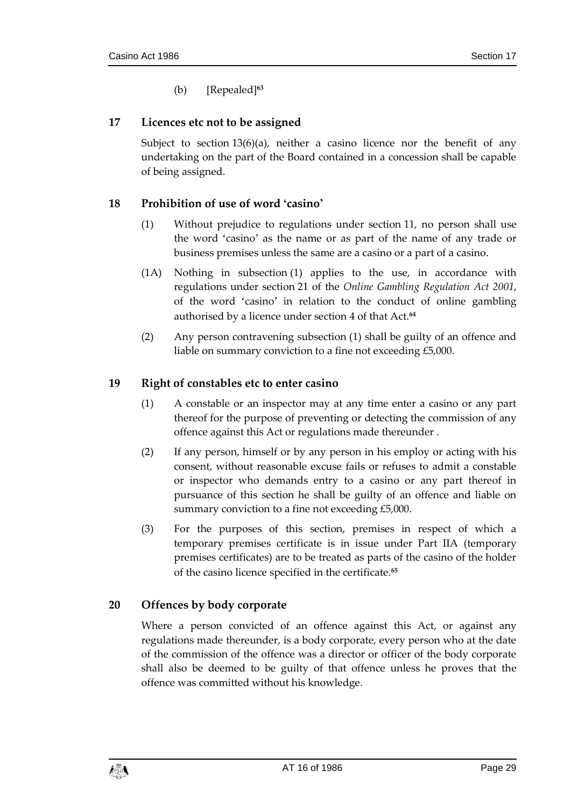(b) [Repealed]**<sup>63</sup>**

## <span id="page-28-0"></span>**17 Licences etc not to be assigned**

Subject to section  $13(6)(a)$ , neither a casino licence nor the benefit of any undertaking on the part of the Board contained in a concession shall be capable of being assigned.

## <span id="page-28-1"></span>**18 Prohibition of use of word 'casino'**

- (1) Without prejudice to regulations under section 11, no person shall use the word 'casino' as the name or as part of the name of any trade or business premises unless the same are a casino or a part of a casino.
- (1A) Nothing in subsection (1) applies to the use, in accordance with regulations under section 21 of the *Online Gambling Regulation Act 2001*, of the word 'casino' in relation to the conduct of online gambling authorised by a licence under section 4 of that Act.**<sup>64</sup>**
- (2) Any person contravening subsection (1) shall be guilty of an offence and liable on summary conviction to a fine not exceeding £5,000.

#### <span id="page-28-2"></span>**19 Right of constables etc to enter casino**

- (1) A constable or an inspector may at any time enter a casino or any part thereof for the purpose of preventing or detecting the commission of any offence against this Act or regulations made thereunder .
- (2) If any person, himself or by any person in his employ or acting with his consent, without reasonable excuse fails or refuses to admit a constable or inspector who demands entry to a casino or any part thereof in pursuance of this section he shall be guilty of an offence and liable on summary conviction to a fine not exceeding £5,000.
- (3) For the purposes of this section, premises in respect of which a temporary premises certificate is in issue under Part IIA (temporary premises certificates) are to be treated as parts of the casino of the holder of the casino licence specified in the certificate.**<sup>65</sup>**

## <span id="page-28-3"></span>**20 Offences by body corporate**

Where a person convicted of an offence against this Act, or against any regulations made thereunder, is a body corporate, every person who at the date of the commission of the offence was a director or officer of the body corporate shall also be deemed to be guilty of that offence unless he proves that the offence was committed without his knowledge.

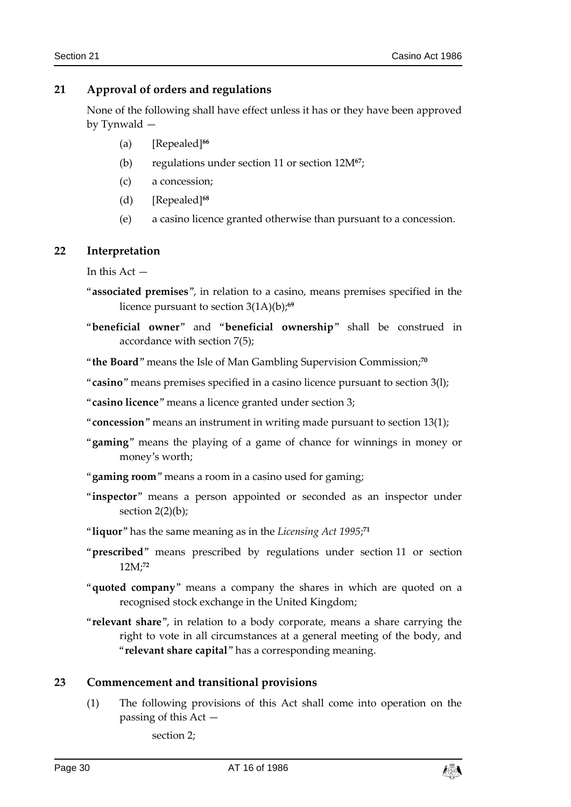## <span id="page-29-0"></span>**21 Approval of orders and regulations**

None of the following shall have effect unless it has or they have been approved by Tynwald —

- (a) [Repealed]**<sup>66</sup>**
- (b) regulations under section 11 or section 12M**<sup>67</sup>**;
- (c) a concession;
- (d) [Repealed]**<sup>68</sup>**
- (e) a casino licence granted otherwise than pursuant to a concession.

#### <span id="page-29-1"></span>**22 Interpretation**

In this Act —

- "**associated premises**", in relation to a casino, means premises specified in the licence pursuant to section 3(1A)(b);**<sup>69</sup>**
- "**beneficial owner**" and "**beneficial ownership**" shall be construed in accordance with section 7(5);

"**the Board**" means the Isle of Man Gambling Supervision Commission;**<sup>70</sup>**

"**casino**" means premises specified in a casino licence pursuant to section 3(l);

"**casino licence**" means a licence granted under section 3;

"**concession**" means an instrument in writing made pursuant to section 13(1);

- "**gaming**" means the playing of a game of chance for winnings in money or money's worth;
- "**gaming room**" means a room in a casino used for gaming;
- "inspector" means a person appointed or seconded as an inspector under section  $2(2)(b)$ ;
- "**liquor**" has the same meaning as in the *Licensing Act 1995*; **71**
- "**prescribed**" means prescribed by regulations under section 11 or section 12M; **72**
- "**quoted company**" means a company the shares in which are quoted on a recognised stock exchange in the United Kingdom;
- "**relevant share**", in relation to a body corporate, means a share carrying the right to vote in all circumstances at a general meeting of the body, and "**relevant share capital**" has a corresponding meaning.

#### <span id="page-29-2"></span>**23 Commencement and transitional provisions**

(1) The following provisions of this Act shall come into operation on the passing of this Act —

section 2;

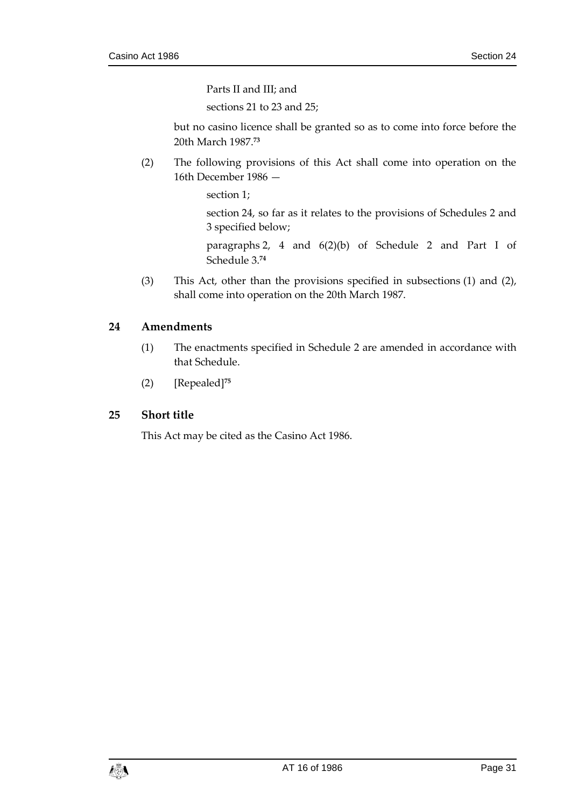Parts II and III; and

sections 21 to 23 and 25;

but no casino licence shall be granted so as to come into force before the 20th March 1987.**<sup>73</sup>**

(2) The following provisions of this Act shall come into operation on the 16th December 1986 —

section 1;

section 24, so far as it relates to the provisions of Schedules 2 and 3 specified below;

paragraphs 2, 4 and 6(2)(b) of Schedule 2 and Part I of Schedule 3.**<sup>74</sup>**

(3) This Act, other than the provisions specified in subsections (1) and (2), shall come into operation on the 20th March 1987.

## <span id="page-30-0"></span>**24 Amendments**

- (1) The enactments specified in Schedule 2 are amended in accordance with that Schedule.
- (2) [Repealed]**<sup>75</sup>**

#### <span id="page-30-1"></span>**25 Short title**

This Act may be cited as the Casino Act 1986.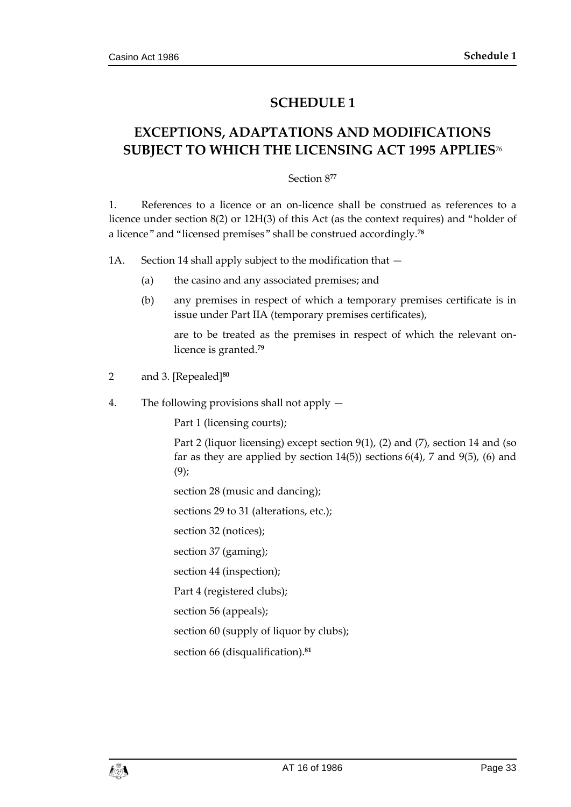# **SCHEDULE 1**

# <span id="page-32-1"></span><span id="page-32-0"></span>**EXCEPTIONS, ADAPTATIONS AND MODIFICATIONS SUBJECT TO WHICH THE LICENSING ACT 1995 APPLIES**<sup>76</sup>

#### Section 8**<sup>77</sup>**

1. References to a licence or an on-licence shall be construed as references to a licence under section 8(2) or 12H(3) of this Act (as the context requires) and "holder of a licence" and "licensed premises" shall be construed accordingly.**<sup>78</sup>**

1A. Section 14 shall apply subject to the modification that —

- (a) the casino and any associated premises; and
- (b) any premises in respect of which a temporary premises certificate is in issue under Part IIA (temporary premises certificates),

are to be treated as the premises in respect of which the relevant onlicence is granted.**<sup>79</sup>**

- 2 and 3. [Repealed]**<sup>80</sup>**
- 4. The following provisions shall not apply —

Part 1 (licensing courts);

Part 2 (liquor licensing) except section 9(1), (2) and (7), section 14 and (so far as they are applied by section  $14(5)$ ) sections  $6(4)$ , 7 and  $9(5)$ , (6) and  $(9)$ ;

section 28 (music and dancing);

sections 29 to 31 (alterations, etc.);

section 32 (notices);

section 37 (gaming);

section 44 (inspection);

Part 4 (registered clubs);

section 56 (appeals);

section 60 (supply of liquor by clubs);

section 66 (disqualification).**<sup>81</sup>**

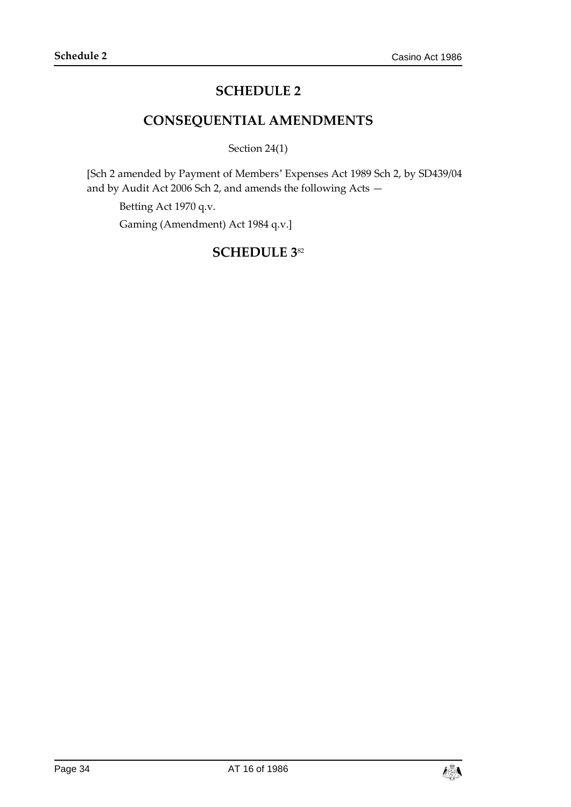# **SCHEDULE 2**

# **CONSEQUENTIAL AMENDMENTS**

Section 24(1)

<span id="page-33-1"></span><span id="page-33-0"></span>[Sch 2 amended by Payment of Members' Expenses Act 1989 Sch 2, by SD439/04 and by Audit Act 2006 Sch 2, and amends the following Acts —

Betting Act 1970 q.v.

<span id="page-33-2"></span>Gaming (Amendment) Act 1984 q.v.]

# **SCHEDULE 3**82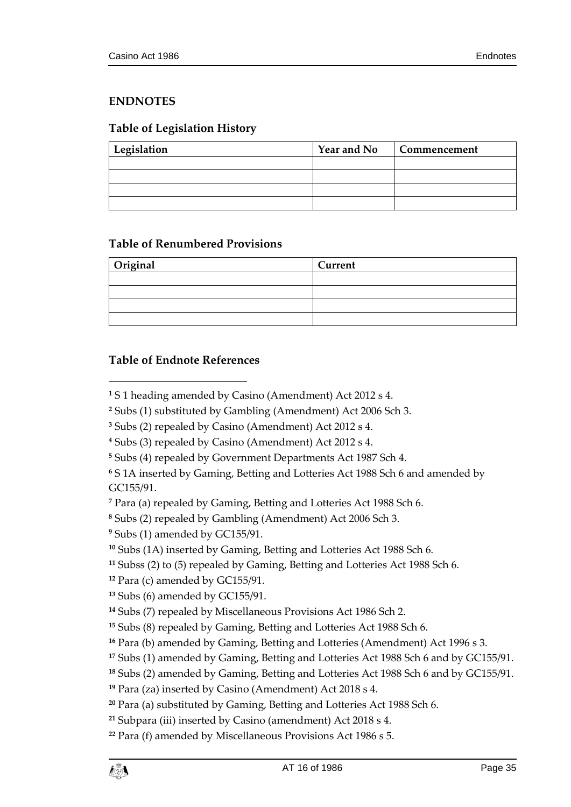# <span id="page-34-0"></span>**ENDNOTES**

# <span id="page-34-1"></span>**Table of Legislation History**

| Legislation | <b>Year and No</b> | Commencement |
|-------------|--------------------|--------------|
|             |                    |              |
|             |                    |              |
|             |                    |              |
|             |                    |              |

## <span id="page-34-2"></span>**Table of Renumbered Provisions**

| Original | Current |  |
|----------|---------|--|
|          |         |  |
|          |         |  |
|          |         |  |
|          |         |  |

## <span id="page-34-3"></span>**Table of Endnote References**

 $\overline{a}$ 

Subs (4) repealed by Government Departments Act 1987 Sch 4.

 S 1A inserted by Gaming, Betting and Lotteries Act 1988 Sch 6 and amended by GC155/91.

Subss (2) to (5) repealed by Gaming, Betting and Lotteries Act 1988 Sch 6.

Para (c) amended by GC155/91.

```
13 Subs (6) amended by GC155/91.
```

```
14 Subs (7) repealed by Miscellaneous Provisions Act 1986 Sch 2.
```
S 1 heading amended by Casino (Amendment) Act 2012 s 4.

Subs (1) substituted by Gambling (Amendment) Act 2006 Sch 3.

Subs (2) repealed by Casino (Amendment) Act 2012 s 4.

Subs (3) repealed by Casino (Amendment) Act 2012 s 4.

Para (a) repealed by Gaming, Betting and Lotteries Act 1988 Sch 6.

Subs (2) repealed by Gambling (Amendment) Act 2006 Sch 3.

Subs (1) amended by GC155/91.

Subs (1A) inserted by Gaming, Betting and Lotteries Act 1988 Sch 6.

Subs (8) repealed by Gaming, Betting and Lotteries Act 1988 Sch 6.

Para (b) amended by Gaming, Betting and Lotteries (Amendment) Act 1996 s 3.

Subs (1) amended by Gaming, Betting and Lotteries Act 1988 Sch 6 and by GC155/91.

Subs (2) amended by Gaming, Betting and Lotteries Act 1988 Sch 6 and by GC155/91.

Para (za) inserted by Casino (Amendment) Act 2018 s 4.

Para (a) substituted by Gaming, Betting and Lotteries Act 1988 Sch 6.

Subpara (iii) inserted by Casino (amendment) Act 2018 s 4.

Para (f) amended by Miscellaneous Provisions Act 1986 s 5.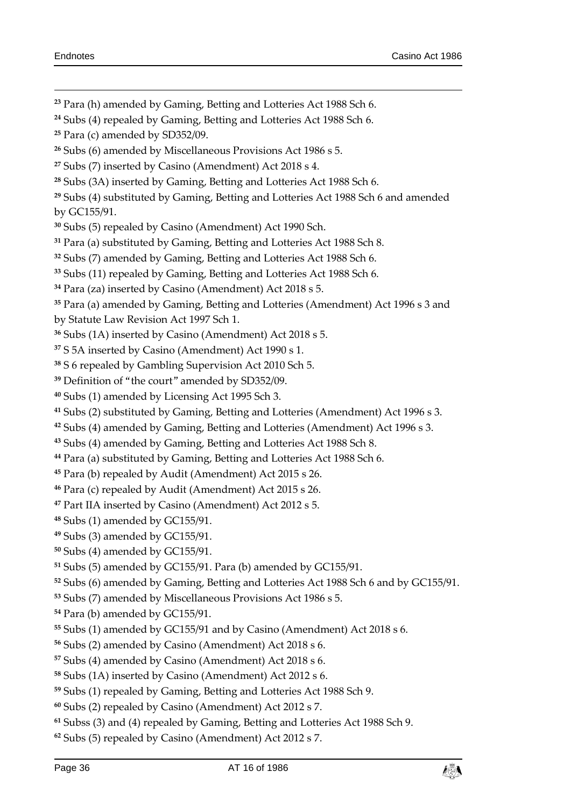Para (h) amended by Gaming, Betting and Lotteries Act 1988 Sch 6. Subs (4) repealed by Gaming, Betting and Lotteries Act 1988 Sch 6. Para (c) amended by SD352/09. Subs (6) amended by Miscellaneous Provisions Act 1986 s 5. Subs (7) inserted by Casino (Amendment) Act 2018 s 4. Subs (3A) inserted by Gaming, Betting and Lotteries Act 1988 Sch 6. Subs (4) substituted by Gaming, Betting and Lotteries Act 1988 Sch 6 and amended by GC155/91. Subs (5) repealed by Casino (Amendment) Act 1990 Sch. Para (a) substituted by Gaming, Betting and Lotteries Act 1988 Sch 8. Subs (7) amended by Gaming, Betting and Lotteries Act 1988 Sch 6. Subs (11) repealed by Gaming, Betting and Lotteries Act 1988 Sch 6. Para (za) inserted by Casino (Amendment) Act 2018 s 5. Para (a) amended by Gaming, Betting and Lotteries (Amendment) Act 1996 s 3 and by Statute Law Revision Act 1997 Sch 1. Subs (1A) inserted by Casino (Amendment) Act 2018 s 5. S 5A inserted by Casino (Amendment) Act 1990 s 1. S 6 repealed by Gambling Supervision Act 2010 Sch 5. Definition of "the court" amended by SD352/09. Subs (1) amended by Licensing Act 1995 Sch 3. Subs (2) substituted by Gaming, Betting and Lotteries (Amendment) Act 1996 s 3. Subs (4) amended by Gaming, Betting and Lotteries (Amendment) Act 1996 s 3. Subs (4) amended by Gaming, Betting and Lotteries Act 1988 Sch 8.

- Para (a) substituted by Gaming, Betting and Lotteries Act 1988 Sch 6.
- Para (b) repealed by Audit (Amendment) Act 2015 s 26.
- Para (c) repealed by Audit (Amendment) Act 2015 s 26.
- Part IIA inserted by Casino (Amendment) Act 2012 s 5.
- Subs (1) amended by GC155/91.
- Subs (3) amended by GC155/91.
- Subs (4) amended by GC155/91.
- Subs (5) amended by GC155/91. Para (b) amended by GC155/91.
- Subs (6) amended by Gaming, Betting and Lotteries Act 1988 Sch 6 and by GC155/91.
- Subs (7) amended by Miscellaneous Provisions Act 1986 s 5.
- Para (b) amended by GC155/91.
- Subs (1) amended by GC155/91 and by Casino (Amendment) Act 2018 s 6.
- Subs (2) amended by Casino (Amendment) Act 2018 s 6.
- Subs (4) amended by Casino (Amendment) Act 2018 s 6.
- Subs (1A) inserted by Casino (Amendment) Act 2012 s 6.
- Subs (1) repealed by Gaming, Betting and Lotteries Act 1988 Sch 9.
- Subs (2) repealed by Casino (Amendment) Act 2012 s 7.
- Subss (3) and (4) repealed by Gaming, Betting and Lotteries Act 1988 Sch 9.
- Subs (5) repealed by Casino (Amendment) Act 2012 s 7.